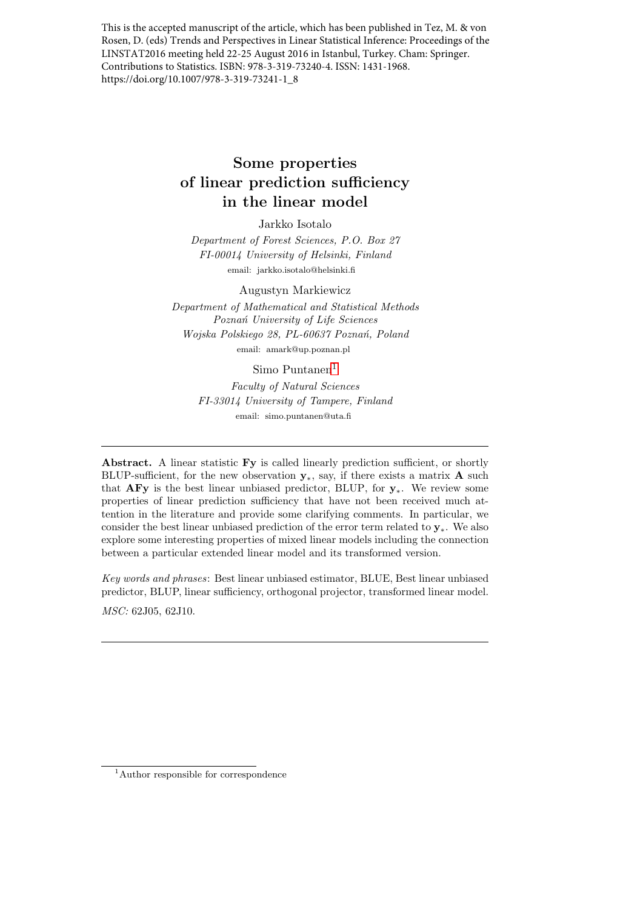This is the accepted manuscript of the article, which has been published in Tez, M. & von Rosen, D. (eds) Trends and Perspectives in Linear Statistical Inference: Proceedings of the LINSTAT2016 meeting held 22-25 August 2016 in Istanbul, Turkey. Cham: Springer. Contributions to Statistics. ISBN: 978-3-319-73240-4. ISSN: 1431-1968. https://doi.org/10.1007/978-3-319-73241-1\_8

# Some properties of linear prediction sufficiency in the linear model

Jarkko Isotalo

Department of Forest Sciences, P.O. Box 27 FI-00014 University of Helsinki, Finland email: jarkko.isotalo@helsinki.fi

Augustyn Markiewicz

Department of Mathematical and Statistical Methods Poznań University of Life Sciences Wojska Polskiego 28, PL-60637 Poznań, Poland email: amark@up.poznan.pl

#### Simo Puntanen<sup>[1](#page-0-0)</sup>

Faculty of Natural Sciences FI-33014 University of Tampere, Finland email: simo.puntanen@uta.fi

Abstract. A linear statistic Fy is called linearly prediction sufficient, or shortly BLUP-sufficient, for the new observation  $y_*$ , say, if there exists a matrix **A** such that  $AFy$  is the best linear unbiased predictor, BLUP, for  $y_*$ . We review some properties of linear prediction sufficiency that have not been received much attention in the literature and provide some clarifying comments. In particular, we consider the best linear unbiased prediction of the error term related to y∗. We also explore some interesting properties of mixed linear models including the connection between a particular extended linear model and its transformed version.

Key words and phrases: Best linear unbiased estimator, BLUE, Best linear unbiased predictor, BLUP, linear sufficiency, orthogonal projector, transformed linear model. MSC: 62J05, 62J10.

<span id="page-0-0"></span><sup>1</sup>Author responsible for correspondence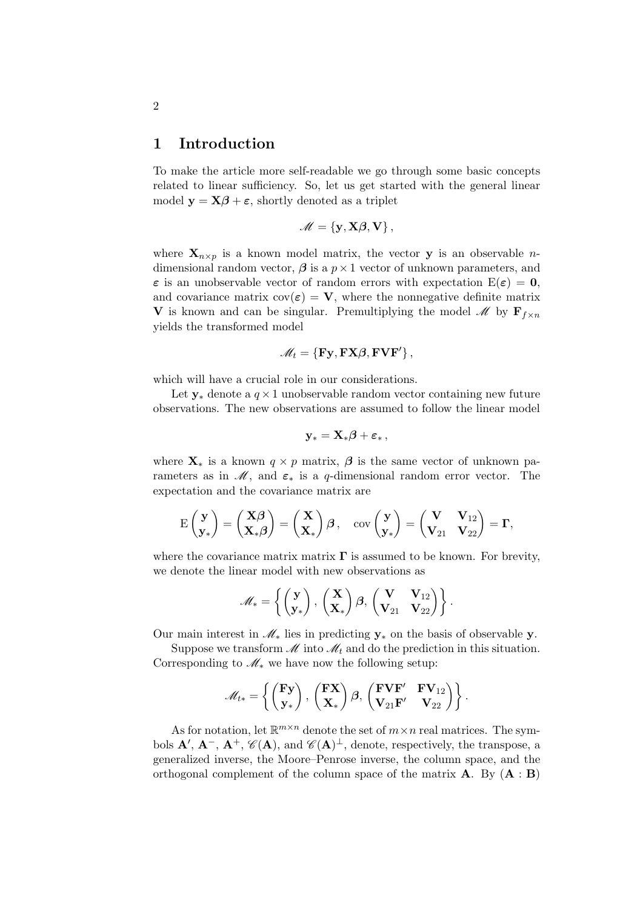#### 1 Introduction

To make the article more self-readable we go through some basic concepts related to linear sufficiency. So, let us get started with the general linear model  $y = X\beta + \varepsilon$ , shortly denoted as a triplet

$$
\mathscr{M} = \{y, X\beta, V\},\,
$$

where  $\mathbf{X}_{n\times p}$  is a known model matrix, the vector **y** is an observable *n*dimensional random vector,  $\beta$  is a  $p \times 1$  vector of unknown parameters, and  $\varepsilon$  is an unobservable vector of random errors with expectation  $E(\varepsilon) = 0$ , and covariance matrix  $cov(\varepsilon) = V$ , where the nonnegative definite matrix V is known and can be singular. Premultiplying the model  $\mathscr{M}$  by  $\mathbf{F}_{f \times n}$ yields the transformed model

$$
\mathscr{M}_t = \{ \mathbf{F} \mathbf{y}, \mathbf{F} \mathbf{X} \boldsymbol{\beta}, \mathbf{F} \mathbf{V} \mathbf{F}' \},
$$

which will have a crucial role in our considerations.

Let  $y_*$  denote a  $q \times 1$  unobservable random vector containing new future observations. The new observations are assumed to follow the linear model

$$
\mathbf{y}_* = \mathbf{X}_*\boldsymbol{\beta} + \boldsymbol{\varepsilon}_*,
$$

where  $\mathbf{X}_*$  is a known  $q \times p$  matrix,  $\boldsymbol{\beta}$  is the same vector of unknown parameters as in  $\mathcal{M}$ , and  $\varepsilon_*$  is a q-dimensional random error vector. The expectation and the covariance matrix are

$$
\mathrm{E}\begin{pmatrix} \mathbf{y} \\ \mathbf{y}_* \end{pmatrix} = \begin{pmatrix} \mathbf{X}\boldsymbol{\beta} \\ \mathbf{X}_*\boldsymbol{\beta} \end{pmatrix} = \begin{pmatrix} \mathbf{X} \\ \mathbf{X}_* \end{pmatrix} \boldsymbol{\beta} \,, \quad \mathrm{cov}\begin{pmatrix} \mathbf{y} \\ \mathbf{y}_* \end{pmatrix} = \begin{pmatrix} \mathbf{V} & \mathbf{V}_{12} \\ \mathbf{V}_{21} & \mathbf{V}_{22} \end{pmatrix} = \boldsymbol{\Gamma},
$$

where the covariance matrix matrix  $\Gamma$  is assumed to be known. For brevity, we denote the linear model with new observations as

$$
\mathscr{M}_* = \left\{ \begin{pmatrix} \mathbf{y} \\ \mathbf{y}_* \end{pmatrix}, \begin{pmatrix} \mathbf{X} \\ \mathbf{X}_* \end{pmatrix} \boldsymbol{\beta}, \begin{pmatrix} \mathbf{V} & \mathbf{V}_{12} \\ \mathbf{V}_{21} & \mathbf{V}_{22} \end{pmatrix} \right\}.
$$

Our main interest in  $\mathcal{M}_*$  lies in predicting  $y_*$  on the basis of observable y.

Suppose we transform  $\mathcal M$  into  $\mathcal M_t$  and do the prediction in this situation. Corresponding to  $\mathcal{M}_*$  we have now the following setup:

$$
\mathscr{M}_{t*} = \left\{ \begin{pmatrix} \mathbf{F} \mathbf{y} \\ \mathbf{y}_* \end{pmatrix}, \begin{pmatrix} \mathbf{F} \mathbf{X} \\ \mathbf{X}_* \end{pmatrix} \boldsymbol{\beta}, \begin{pmatrix} \mathbf{F} \mathbf{V} \mathbf{F}' & \mathbf{F} \mathbf{V}_{12} \\ \mathbf{V}_{21} \mathbf{F}' & \mathbf{V}_{22} \end{pmatrix} \right\}.
$$

As for notation, let  $\mathbb{R}^{m \times n}$  denote the set of  $m \times n$  real matrices. The symbols  $\mathbf{A}', \mathbf{A}^-$ ,  $\mathbf{A}^+$ ,  $\mathscr{C}(\mathbf{A})$ , and  $\mathscr{C}(\mathbf{A})^{\perp}$ , denote, respectively, the transpose, a generalized inverse, the Moore–Penrose inverse, the column space, and the orthogonal complement of the column space of the matrix  $\mathbf{A}$ . By  $(\mathbf{A} : \mathbf{B})$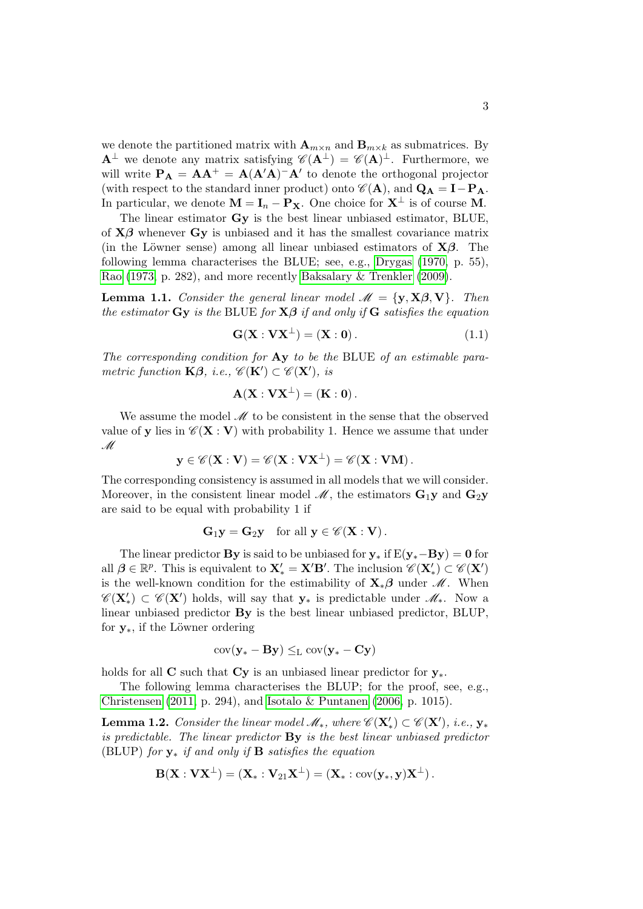we denote the partitioned matrix with  $\mathbf{A}_{m \times n}$  and  $\mathbf{B}_{m \times k}$  as submatrices. By  $A^{\perp}$  we denote any matrix satisfying  $\mathscr{C}(A^{\perp}) = \mathscr{C}(A)^{\perp}$ . Furthermore, we will write  $P_A = AA^+ = A(A'A)^-A'$  to denote the orthogonal projector (with respect to the standard inner product) onto  $\mathscr{C}(\mathbf{A})$ , and  $\mathbf{Q}_{\mathbf{A}} = \mathbf{I} - \mathbf{P}_{\mathbf{A}}$ . In particular, we denote  $\mathbf{M} = \mathbf{I}_n - \mathbf{P}_\mathbf{X}$ . One choice for  $\mathbf{X}^{\perp}$  is of course **M**.

The linear estimator Gy is the best linear unbiased estimator, BLUE, of  $X\beta$  whenever  $G_Y$  is unbiased and it has the smallest covariance matrix (in the Löwner sense) among all linear unbiased estimators of  $X\beta$ . The following lemma characterises the BLUE; see, e.g., [Drygas](#page-17-0) [\(1970,](#page-17-0) p. 55), [Rao](#page-17-1) [\(1973,](#page-17-1) p. 282), and more recently [Baksalary & Trenkler](#page-16-0) [\(2009\)](#page-16-0).

**Lemma 1.1.** Consider the general linear model  $\mathcal{M} = \{y, X\beta, V\}$ . Then the estimator  $\mathbf{G}\mathbf{y}$  is the BLUE for  $\mathbf{X}\boldsymbol{\beta}$  if and only if  $\mathbf{G}$  satisfies the equation

<span id="page-2-0"></span>
$$
\mathbf{G}(\mathbf{X} : \mathbf{V}\mathbf{X}^{\perp}) = (\mathbf{X} : \mathbf{0}). \tag{1.1}
$$

The corresponding condition for Ay to be the BLUE of an estimable parametric function  $\mathbf{K}\boldsymbol{\beta}$ , i.e.,  $\mathscr{C}(\mathbf{K}') \subset \mathscr{C}(\mathbf{X}')$ , is

$$
\mathbf{A}(\mathbf{X}:\mathbf{V}\mathbf{X}^{\perp})=(\mathbf{K}:0).
$$

We assume the model  $\mathcal M$  to be consistent in the sense that the observed value of y lies in  $\mathscr{C}(\mathbf{X} : \mathbf{V})$  with probability 1. Hence we assume that under M

$$
\mathbf{y}\in\mathscr{C}(\mathbf{X}:\mathbf{V})=\mathscr{C}(\mathbf{X}:\mathbf{V}\mathbf{X}^{\perp})=\mathscr{C}(\mathbf{X}:\mathbf{V}\mathbf{M}).
$$

The corresponding consistency is assumed in all models that we will consider. Moreover, in the consistent linear model  $\mathcal{M}$ , the estimators  $\mathbf{G}_1\mathbf{y}$  and  $\mathbf{G}_2\mathbf{y}$ are said to be equal with probability 1 if

$$
G_1y = G_2y \quad \text{for all } y \in \mathscr{C}(\mathbf{X} : \mathbf{V}).
$$

The linear predictor By is said to be unbiased for  $y_*$  if  $E(y_*-By) = 0$  for all  $\beta \in \mathbb{R}^p$ . This is equivalent to  $X'_* = X'B'$ . The inclusion  $\mathscr{C}(X'_*) \subset \mathscr{C}(X')$ is the well-known condition for the estimability of  $X_*\beta$  under  $\mathcal M$ . When  $\mathscr{C}(\mathbf{X}'_*)\subset \mathscr{C}(\mathbf{X}')$  holds, will say that  $\mathbf{y}_*$  is predictable under  $\mathscr{M}_*$ . Now a linear unbiased predictor By is the best linear unbiased predictor, BLUP, for  $y_*,$  if the Löwner ordering

$$
\mathrm{cov}(\mathbf{y}_{*} - \mathbf{B} \mathbf{y}) \leq_{\mathrm{L}} \mathrm{cov}(\mathbf{y}_{*} - \mathbf{C} \mathbf{y})
$$

holds for all C such that  $C_v$  is an unbiased linear predictor for  $v_*$ .

The following lemma characterises the BLUP; for the proof, see, e.g., [Christensen](#page-16-1) [\(2011,](#page-16-1) p. 294), and [Isotalo & Puntanen](#page-17-2) [\(2006,](#page-17-2) p. 1015).

<span id="page-2-1"></span>**Lemma 1.2.** Consider the linear model  $\mathscr{M}_{*}$ , where  $\mathscr{C}(\mathbf{X}') \subset \mathscr{C}(\mathbf{X}')$ , i.e.,  $\mathbf{y}_{*}$ is predictable. The linear predictor By is the best linear unbiased predictor (BLUP) for  $y_*$  if and only if **B** satisfies the equation

$$
\mathbf{B}(\mathbf{X}:\mathbf{V}\mathbf{X}^{\perp})=(\mathbf{X}_*:\mathbf{V}_{21}\mathbf{X}^{\perp})=(\mathbf{X}_*:\text{cov}(\mathbf{y}_*,\mathbf{y})\mathbf{X}^{\perp}).
$$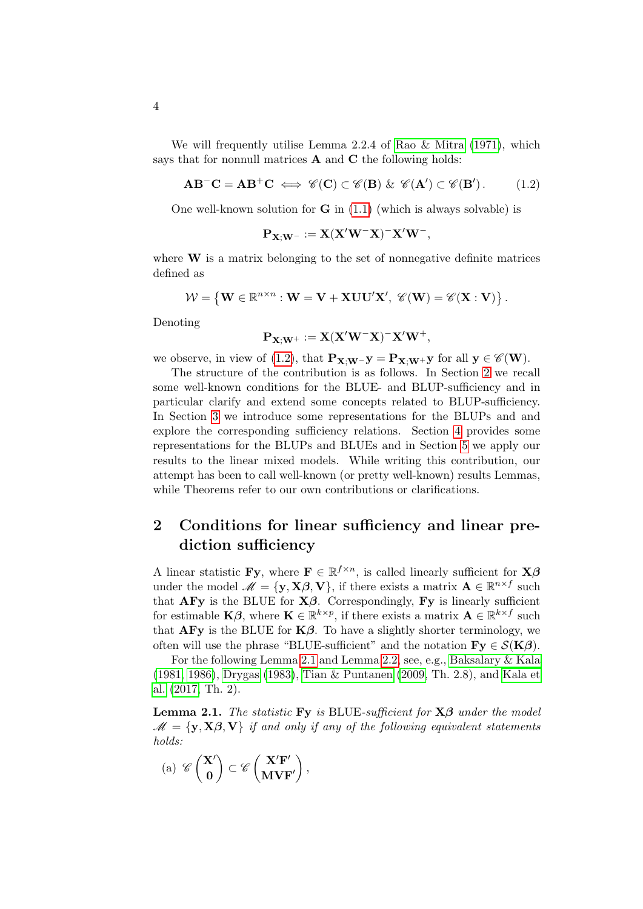We will frequently utilise Lemma 2.2.4 of [Rao & Mitra](#page-18-0) [\(1971\)](#page-18-0), which says that for nonnull matrices **A** and **C** the following holds:

<span id="page-3-0"></span>
$$
AB^{-}C = AB^{+}C \iff \mathscr{C}(C) \subset \mathscr{C}(B) \& \mathscr{C}(A') \subset \mathscr{C}(B'). \tag{1.2}
$$

One well-known solution for  $G$  in  $(1.1)$  (which is always solvable) is

$$
\mathbf{P}_{\mathbf{X};\mathbf{W}^-} := \mathbf{X} (\mathbf{X}'\mathbf{W}^-\mathbf{X})^-\mathbf{X}'\mathbf{W}^-,
$$

where  $W$  is a matrix belonging to the set of nonnegative definite matrices defined as

$$
\mathcal{W} = \left\{ \mathbf{W} \in \mathbb{R}^{n \times n} : \mathbf{W} = \mathbf{V} + \mathbf{X} \mathbf{U} \mathbf{U}' \mathbf{X}', \ \mathscr{C}(\mathbf{W}) = \mathscr{C}(\mathbf{X} : \mathbf{V}) \right\}.
$$

Denoting

$$
\mathbf{P}_{\mathbf{X};\mathbf{W}^+} := \mathbf{X} (\mathbf{X}'\mathbf{W}^-\mathbf{X})^- \mathbf{X}'\mathbf{W}^+,
$$

we observe, in view of [\(1.2\)](#page-3-0), that  $\mathbf{P}_{\mathbf{X};\mathbf{W}^-\mathbf{y}} = \mathbf{P}_{\mathbf{X};\mathbf{W}^+\mathbf{y}}$  for all  $\mathbf{y} \in \mathscr{C}(\mathbf{W})$ .

The structure of the contribution is as follows. In Section [2](#page-3-1) we recall some well-known conditions for the BLUE- and BLUP-sufficiency and in particular clarify and extend some concepts related to BLUP-sufficiency. In Section [3](#page-6-0) we introduce some representations for the BLUPs and and explore the corresponding sufficiency relations. Section [4](#page-11-0) provides some representations for the BLUPs and BLUEs and in Section [5](#page-13-0) we apply our results to the linear mixed models. While writing this contribution, our attempt has been to call well-known (or pretty well-known) results Lemmas, while Theorems refer to our own contributions or clarifications.

### <span id="page-3-1"></span>2 Conditions for linear sufficiency and linear prediction sufficiency

A linear statistic **Fy**, where  $\mathbf{F} \in \mathbb{R}^{f \times n}$ , is called linearly sufficient for  $\mathbf{X}\boldsymbol{\beta}$ under the model  $\mathscr{M} = {\bf y, X\beta, V}$ , if there exists a matrix  ${\bf A} \in \mathbb{R}^{n \times f}$  such that  $\bf{AFy}$  is the BLUE for  $\bf{X}\beta$ . Correspondingly,  $\bf{Fy}$  is linearly sufficient for estimable **K** $\beta$ , where **K**  $\in \mathbb{R}^{k \times p}$ , if there exists a matrix **A**  $\in \mathbb{R}^{k \times f}$  such that  $AFy$  is the BLUE for  $K\beta$ . To have a slightly shorter terminology, we often will use the phrase "BLUE-sufficient" and the notation  $\mathbf{Fv} \in \mathcal{S}(\mathbf{K}\mathcal{B})$ .

For the following Lemma [2.1](#page-3-2) and Lemma [2.2,](#page-4-0) see, e.g., [Baksalary & Kala](#page-16-2) [\(1981,](#page-16-2) [1986\)](#page-16-3), [Drygas](#page-17-3) [\(1983\)](#page-17-3), [Tian & Puntanen](#page-18-1) [\(2009,](#page-18-1) Th. 2.8), and [Kala et](#page-17-4) [al.](#page-17-4) [\(2017,](#page-17-4) Th. 2).

<span id="page-3-2"></span>**Lemma 2.1.** The statistic Fy is BLUE-sufficient for  $X\beta$  under the model  $\mathcal{M} = \{y, X\beta, V\}$  if and only if any of the following equivalent statements holds:

$$
\mathrm{(a)}\ \mathscr{C}\left(\begin{matrix}\mathbf{X}^{\prime} \\ \mathbf{0}\end{matrix}\right)\subset \mathscr{C}\left(\begin{matrix}\mathbf{X}^{\prime}F^{\prime} \\ \mathbf{M}\mathbf{VF}^{\prime}\end{matrix}\right),
$$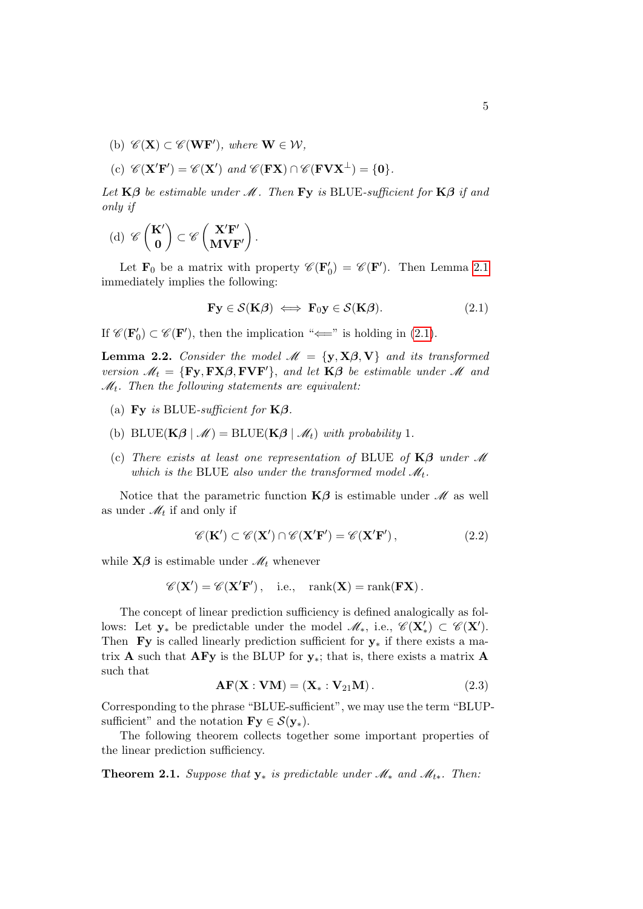- (b)  $\mathscr{C}(\mathbf{X}) \subset \mathscr{C}(\mathbf{WF}')$ , where  $\mathbf{W} \in \mathcal{W}$ ,
- (c)  $\mathscr{C}(\mathbf{X}'\mathbf{F}') = \mathscr{C}(\mathbf{X}')$  and  $\mathscr{C}(\mathbf{F}\mathbf{X}) \cap \mathscr{C}(\mathbf{F}\mathbf{V}\mathbf{X}^{\perp}) = \{0\}.$

Let  $K\beta$  be estimable under M. Then Fy is BLUE-sufficient for  $K\beta$  if and only if

(d)  $\mathscr{C}\left(\begin{matrix} K'\\ 0 \end{matrix}\right)$ 0  $\Big) \subset \mathscr{C} \left( \frac{\mathbf{X}' \mathbf{F}'}{\mathbf{M} \mathbf{M} \mathbf{F}'} \right)$  $MVF'$  $\big).$ 

Let  $\mathbf{F}_0$  be a matrix with property  $\mathscr{C}(\mathbf{F}'_0) = \mathscr{C}(\mathbf{F}')$ . Then Lemma [2.1](#page-3-2) immediately implies the following:

<span id="page-4-1"></span>
$$
\mathbf{Fy} \in \mathcal{S}(\mathbf{K}\boldsymbol{\beta}) \iff \mathbf{F}_0\mathbf{y} \in \mathcal{S}(\mathbf{K}\boldsymbol{\beta}). \tag{2.1}
$$

If  $\mathscr{C}(\mathbf{F}'_0) \subset \mathscr{C}(\mathbf{F}')$ , then the implication " $\Longleftarrow$ " is holding in [\(2.1\)](#page-4-1).

<span id="page-4-0"></span>**Lemma 2.2.** Consider the model  $\mathcal{M} = \{y, X\beta, V\}$  and its transformed version  $\mathcal{M}_t = \{ \mathbf{Fy}, \mathbf{FX}\beta, \mathbf{FVF'} \}$ , and let  $\mathbf{K}\beta$  be estimable under  $\mathcal{M}$  and  $\mathcal{M}_t$ . Then the following statements are equivalent:

- (a) Fy is BLUE-sufficient for  $K\beta$ .
- (b) BLUE( $\mathbf{K}\boldsymbol{\beta} \mid \mathcal{M}$ ) = BLUE( $\mathbf{K}\boldsymbol{\beta} \mid \mathcal{M}_t$ ) with probability 1.
- (c) There exists at least one representation of BLUE of  $K\beta$  under M which is the BLUE also under the transformed model  $\mathcal{M}_t$ .

Notice that the parametric function  $K\beta$  is estimable under  $\mathcal M$  as well as under  $\mathcal{M}_t$  if and only if

<span id="page-4-4"></span>
$$
\mathscr{C}(\mathbf{K}') \subset \mathscr{C}(\mathbf{X}') \cap \mathscr{C}(\mathbf{X}'\mathbf{F}') = \mathscr{C}(\mathbf{X}'\mathbf{F}'),\tag{2.2}
$$

while  $X\beta$  is estimable under  $\mathcal{M}_t$  whenever

$$
\mathscr{C}(\mathbf{X}') = \mathscr{C}(\mathbf{X}'\mathbf{F}'), \quad \text{i.e.,} \quad \text{rank}(\mathbf{X}) = \text{rank}(\mathbf{F}\mathbf{X})\,.
$$

The concept of linear prediction sufficiency is defined analogically as follows: Let  $y_*$  be predictable under the model  $\mathscr{M}_*$ , i.e.,  $\mathscr{C}(\mathbf{X}'_*) \subset \mathscr{C}(\mathbf{X}')$ . Then Fy is called linearly prediction sufficient for  $y_*$  if there exists a matrix **A** such that **AFy** is the BLUP for  $y_*$ ; that is, there exists a matrix **A** such that

<span id="page-4-2"></span>
$$
\mathbf{AF}(\mathbf{X} : \mathbf{VM}) = (\mathbf{X} * : \mathbf{V}_{21}\mathbf{M}). \tag{2.3}
$$

Corresponding to the phrase "BLUE-sufficient", we may use the term "BLUPsufficient" and the notation  $\mathbf{Fy} \in \mathcal{S}(\mathbf{y}_{*}).$ 

The following theorem collects together some important properties of the linear prediction sufficiency.

<span id="page-4-3"></span>**Theorem 2.1.** Suppose that  $y_*$  is predictable under  $\mathcal{M}_*$  and  $\mathcal{M}_{t*}$ . Then: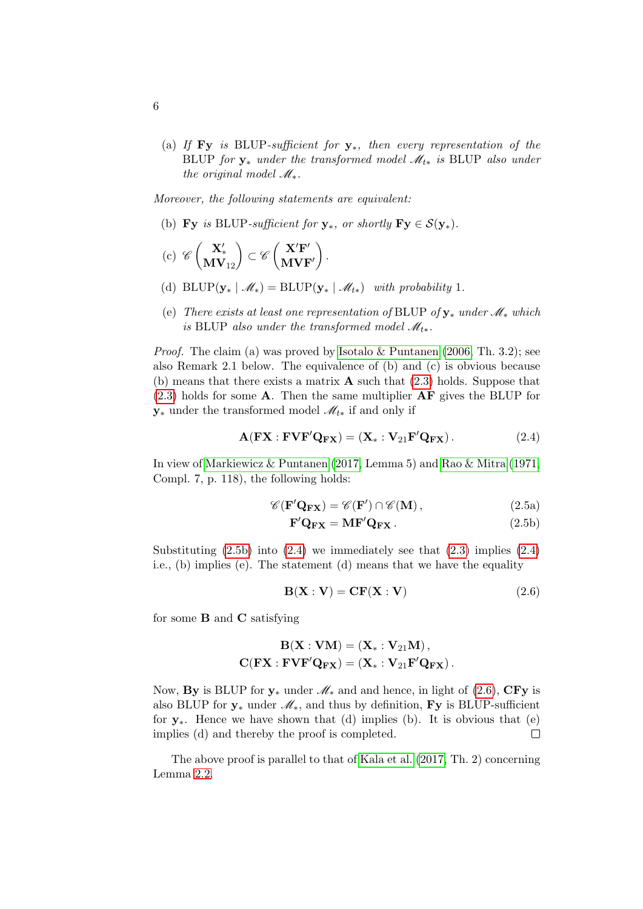(a) If Fy is BLUP-sufficient for  $y_*,$  then every representation of the BLUP for  $y_*$  under the transformed model  $\mathcal{M}_{t*}$  is BLUP also under the original model  $\mathcal{M}_*$ .

Moreover, the following statements are equivalent:

- (b) Fy is BLUP-sufficient for  $y_*$ , or shortly  $Fy \in S(y_*)$ .
- $\left(\mathrm{c}\right) \ \mathscr{C}\left(\begin{matrix}\mathbf{X}'_{\star}\ \mathbf{M}\mathbf{V}_{12}\end{matrix}\right) \subset \mathscr{C}\left(\begin{matrix}\mathbf{X}'\mathbf{F}'\ \mathbf{M}\mathbf{V}\mathbf{F}'\end{matrix}\right)$  $MVF'$  $\big)$  .
- (d) BLUP( $\mathbf{y}_* \mid \mathcal{M}_*$ ) = BLUP( $\mathbf{y}_* \mid \mathcal{M}_{t*}$ ) with probability 1.
- (e) There exists at least one representation of BLUP of  $y_*$  under  $\mathcal{M}_*$  which is BLUP also under the transformed model  $\mathcal{M}_{t*}$ .

*Proof.* The claim (a) was proved by [Isotalo & Puntanen](#page-17-2) [\(2006,](#page-17-2) Th. 3.2); see also Remark 2.1 below. The equivalence of (b) and (c) is obvious because (b) means that there exists a matrix  $\bf{A}$  such that [\(2.3\)](#page-4-2) holds. Suppose that  $(2.3)$  holds for some **A**. Then the same multiplier **AF** gives the BLUP for  $y_*$  under the transformed model  $\mathcal{M}_{t*}$  if and only if

<span id="page-5-1"></span>
$$
\mathbf{A}(\mathbf{F}\mathbf{X}:\mathbf{F}\mathbf{V}\mathbf{F}'\mathbf{Q}_{\mathbf{F}\mathbf{X}}) = (\mathbf{X}^*:\mathbf{V}_{21}\mathbf{F}'\mathbf{Q}_{\mathbf{F}\mathbf{X}}).
$$
 (2.4)

In view of [Markiewicz & Puntanen](#page-17-5) [\(2017,](#page-17-5) Lemma 5) and [Rao & Mitra](#page-18-0) [\(1971,](#page-18-0) Compl. 7, p. 118), the following holds:

$$
\mathscr{C}(\mathbf{F}'\mathbf{Q}_{\mathbf{F}\mathbf{X}}) = \mathscr{C}(\mathbf{F}') \cap \mathscr{C}(\mathbf{M}),\tag{2.5a}
$$

<span id="page-5-0"></span>
$$
\mathbf{F}'\mathbf{Q}_{\mathbf{FX}} = \mathbf{MF}'\mathbf{Q}_{\mathbf{FX}}.
$$
 (2.5b)

Substituting  $(2.5b)$  into  $(2.4)$  we immediately see that  $(2.3)$  implies  $(2.4)$ i.e., (b) implies (e). The statement (d) means that we have the equality

<span id="page-5-2"></span>
$$
\mathbf{B}(\mathbf{X} : \mathbf{V}) = \mathbf{CF}(\mathbf{X} : \mathbf{V})
$$
\n(2.6)

for some B and C satisfying

$$
\mathbf{B}(\mathbf{X}: \mathbf{V}\mathbf{M}) = (\mathbf{X}_* : \mathbf{V}_{21}\mathbf{M}),
$$

$$
\mathbf{C}(\mathbf{F}\mathbf{X} : \mathbf{F}\mathbf{V}\mathbf{F}'\mathbf{Q}_{\mathbf{F}\mathbf{X}}) = (\mathbf{X}_* : \mathbf{V}_{21}\mathbf{F}'\mathbf{Q}_{\mathbf{F}\mathbf{X}}).
$$

Now, By is BLUP for  $y_*$  under  $\mathcal{M}_*$  and and hence, in light of [\(2.6\)](#page-5-2), CFy is also BLUP for  $y_*$  under  $\mathcal{M}_*$ , and thus by definition, Fy is BLUP-sufficient for  $y_*$ . Hence we have shown that (d) implies (b). It is obvious that (e) implies (d) and thereby the proof is completed.  $\Box$ 

The above proof is parallel to that of [Kala et al.](#page-17-4) [\(2017,](#page-17-4) Th. 2) concerning Lemma [2.2.](#page-4-0)

6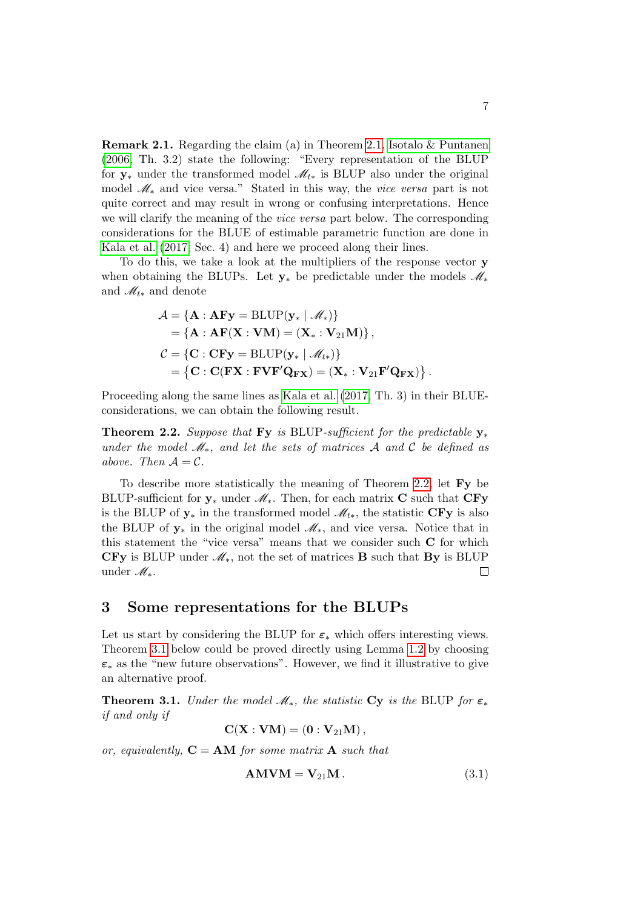**Remark 2.1.** Regarding the claim (a) in Theorem [2.1,](#page-4-3) Isotalo  $\&$  Puntanen [\(2006,](#page-17-2) Th. 3.2) state the following: "Every representation of the BLUP for  $y_*$  under the transformed model  $\mathcal{M}_{t*}$  is BLUP also under the original model M<sup>∗</sup> and vice versa." Stated in this way, the vice versa part is not quite correct and may result in wrong or confusing interpretations. Hence we will clarify the meaning of the vice versa part below. The corresponding considerations for the BLUE of estimable parametric function are done in [Kala et al.](#page-17-4) [\(2017,](#page-17-4) Sec. 4) and here we proceed along their lines.

To do this, we take a look at the multipliers of the response vector y when obtaining the BLUPs. Let  $y_*$  be predictable under the models  $\mathcal{M}_*$ and  $\mathcal{M}_{t*}$  and denote

$$
\mathcal{A} = \{ \mathbf{A} : \mathbf{AFy} = \text{BLUP}(\mathbf{y}_* \mid \mathcal{M}_*) \} = \{ \mathbf{A} : \mathbf{AF}(\mathbf{X} : \mathbf{VM}) = (\mathbf{X}_* : \mathbf{V}_{21}\mathbf{M}) \}, \n\mathcal{C} = \{ \mathbf{C} : \mathbf{CFy} = \text{BLUP}(\mathbf{y}_* \mid \mathcal{M}_{t*}) \} = \{ \mathbf{C} : \mathbf{C}(\mathbf{FX} : \mathbf{FVF}'\mathbf{Q}_{\mathbf{FX}}) = (\mathbf{X}_* : \mathbf{V}_{21}\mathbf{F}'\mathbf{Q}_{\mathbf{FX}}) \}.
$$

Proceeding along the same lines as [Kala et al.](#page-17-4) [\(2017,](#page-17-4) Th. 3) in their BLUEconsiderations, we can obtain the following result.

<span id="page-6-1"></span>Theorem 2.2. Suppose that Fy is BLUP-sufficient for the predictable  $y_*$ under the model  $\mathcal{M}_*$ , and let the sets of matrices A and C be defined as above. Then  $A = C$ .

To describe more statistically the meaning of Theorem [2.2,](#page-6-1) let Fy be BLUP-sufficient for  $y_*$  under  $\mathcal{M}_*$ . Then, for each matrix C such that CFy is the BLUP of  $y_*$  in the transformed model  $\mathcal{M}_{t*}$ , the statistic CFy is also the BLUP of  $y_*$  in the original model  $\mathcal{M}_*$ , and vice versa. Notice that in this statement the "vice versa" means that we consider such C for which CFy is BLUP under  $\mathcal{M}_*$ , not the set of matrices **B** such that **By** is BLUP under M∗.  $\Box$ 

#### <span id="page-6-0"></span>3 Some representations for the BLUPs

Let us start by considering the BLUP for  $\varepsilon_*$  which offers interesting views. Theorem [3.1](#page-6-2) below could be proved directly using Lemma [1.2](#page-2-1) by choosing  $\varepsilon_*$  as the "new future observations". However, we find it illustrative to give an alternative proof.

<span id="page-6-2"></span>**Theorem 3.1.** Under the model  $\mathcal{M}_*$ , the statistic Cy is the BLUP for  $\varepsilon_*$ if and only if

$$
\mathbf{C}(\mathbf{X}:\mathbf{V}\mathbf{M}) = \left(\mathbf{0}:\mathbf{V}_{21}\mathbf{M}\right),
$$

or, equivalently,  $C = AM$  for some matrix A such that

<span id="page-6-3"></span>
$$
AMVM = V_{21}M.
$$
 (3.1)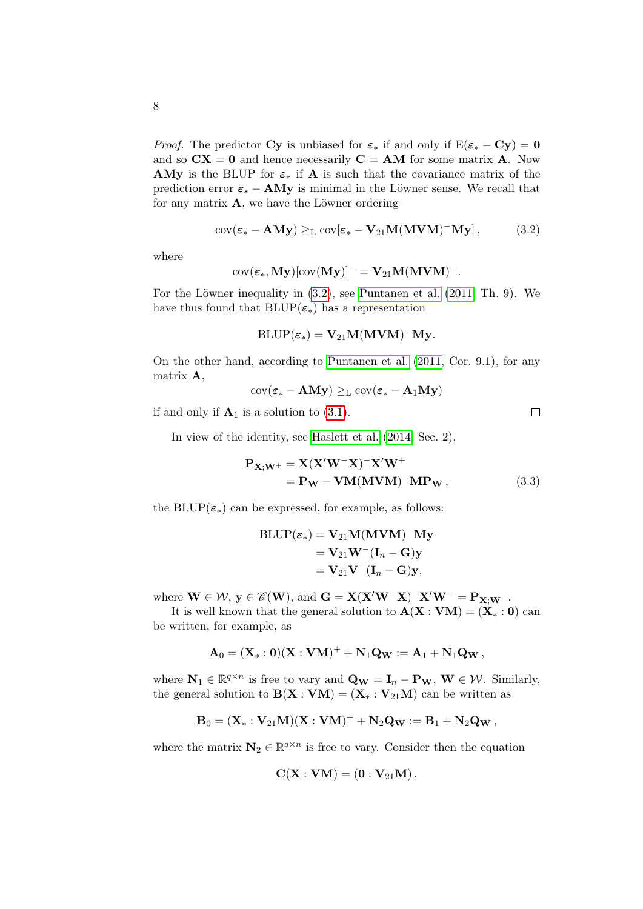*Proof.* The predictor Cy is unbiased for  $\varepsilon_*$  if and only if  $E(\varepsilon_* - Cy) = 0$ and so  $CX = 0$  and hence necessarily  $C = AM$  for some matrix A. Now AMy is the BLUP for  $\varepsilon_*$  if A is such that the covariance matrix of the prediction error  $\varepsilon_* - AMy$  is minimal in the Löwner sense. We recall that for any matrix  $\mathbf{A}$ , we have the Löwner ordering

<span id="page-7-0"></span>
$$
cov(\varepsilon_{*} - AMy) \geq_{L} cov[\varepsilon_{*} - V_{21}M(MVM)^{-}My], \qquad (3.2)
$$

where

$$
\mathrm{cov}(\boldsymbol{\varepsilon}_*, \mathbf{M}\mathbf{y})[\mathrm{cov}(\mathbf{M}\mathbf{y})]^-=\mathbf{V}_{21}\mathbf{M}(\mathbf{M}\mathbf{V}\mathbf{M})^-.
$$

For the Löwner inequality in  $(3.2)$ , see [Puntanen et al.](#page-17-6)  $(2011, Th. 9)$  $(2011, Th. 9)$ . We have thus found that  $BLUP(\varepsilon_*)$  has a representation

$$
\operatorname{BLUP}(\varepsilon_*) = \mathbf{V}_{21} \mathbf{M} (\mathbf{MVM})^- \mathbf{My}.
$$

On the other hand, according to [Puntanen et al.](#page-17-6) [\(2011,](#page-17-6) Cor. 9.1), for any matrix A,

$$
\mathrm{cov}(\boldsymbol{\varepsilon}_{*}-\mathbf{A}\mathbf{M}\mathbf{y})\geq_{\mathrm{L}}\mathrm{cov}(\boldsymbol{\varepsilon}_{*}-\mathbf{A}_{1}\mathbf{M}\mathbf{y})
$$

if and only if  $A_1$  is a solution to [\(3.1\)](#page-6-3).

In view of the identity, see [Haslett et al.](#page-17-7) [\(2014,](#page-17-7) Sec. 2),

$$
\mathbf{P}_{\mathbf{X};\mathbf{W}^{+}} = \mathbf{X}(\mathbf{X}'\mathbf{W}^{-}\mathbf{X})^{-}\mathbf{X}'\mathbf{W}^{+}
$$
  
=  $\mathbf{P}_{\mathbf{W}} - \mathbf{V}\mathbf{M}(\mathbf{M}\mathbf{V}\mathbf{M})^{-}\mathbf{M}\mathbf{P}_{\mathbf{W}}$ , (3.3)

the BLUP( $\varepsilon_*$ ) can be expressed, for example, as follows:

$$
BLUP(\varepsilon_*) = V_{21}M(MVM)^-My
$$
  
=  $V_{21}W^-(I_n - G)y$   
=  $V_{21}V^-(I_n - G)y$ ,

where  $\mathbf{W} \in \mathcal{W}$ ,  $\mathbf{y} \in \mathscr{C}(\mathbf{W})$ , and  $\mathbf{G} = \mathbf{X} (\mathbf{X}' \mathbf{W}^- \mathbf{X})^- \mathbf{X}' \mathbf{W}^- = \mathbf{P}_{\mathbf{X}; \mathbf{W}^-}$ .

It is well known that the general solution to  $\mathbf{A}(\mathbf{X} : \mathbf{V}\mathbf{M}) = (\mathbf{X} * \mathbf{I}) \mathbf{A}$  can be written, for example, as

$$
{\bf A}_0=({\bf X}_*:0)({\bf X}:{\bf V}{\bf M})^++{\bf N}_1{\bf Q}_{\bf W}:={\bf A}_1+{\bf N}_1{\bf Q}_{\bf W}\,,
$$

where  $\mathbf{N}_1 \in \mathbb{R}^{q \times n}$  is free to vary and  $\mathbf{Q_W} = \mathbf{I}_n - \mathbf{P_W}$ ,  $\mathbf{W} \in \mathcal{W}$ . Similarly, the general solution to  $\mathbf{B}(\mathbf{X} : \mathbf{V}\mathbf{M}) = (\mathbf{X} * : \mathbf{V}_{21}\mathbf{M})$  can be written as

$$
{\bf B}_0=({\bf X}_*: {\bf V}_{21}{\bf M})({\bf X}: {\bf V}{\bf M})^+ + {\bf N}_2 {\bf Q}_{\bf W} := {\bf B}_1 + {\bf N}_2 {\bf Q}_{\bf W}\,,
$$

where the matrix  $N_2 \in \mathbb{R}^{q \times n}$  is free to vary. Consider then the equation

$$
\mathbf{C}(\mathbf{X}:\mathbf{V}\mathbf{M}) = (\mathbf{0}:\mathbf{V}_{21}\mathbf{M})
$$

<span id="page-7-1"></span> $\Box$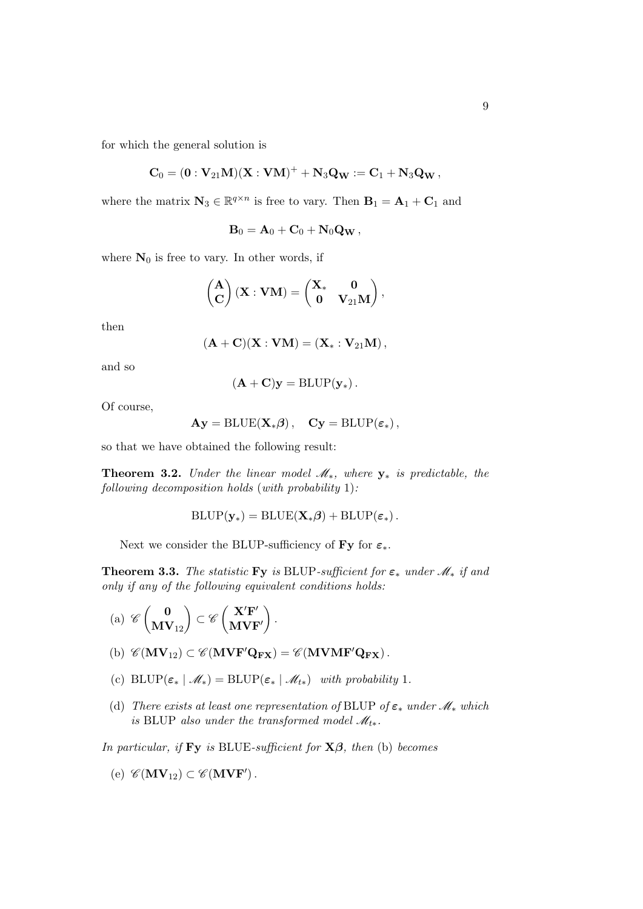for which the general solution is

$$
{\bf C}_0=({\bf 0}:{\bf V}_{21}{\bf M})({\bf X}:{\bf V}{\bf M})^++{\bf N}_3{\bf Q}_{{\bf W}}:={\bf C}_1+{\bf N}_3{\bf Q}_{{\bf W}}\,,
$$

where the matrix  $\mathbf{N}_3 \in \mathbb{R}^{q \times n}$  is free to vary. Then  $\mathbf{B}_1 = \mathbf{A}_1 + \mathbf{C}_1$  and

$$
\mathbf{B}_0 = \mathbf{A}_0 + \mathbf{C}_0 + \mathbf{N}_0 \mathbf{Q}_\mathbf{W},
$$

where  $\mathbf{N}_0$  is free to vary. In other words, if

$$
\begin{pmatrix}{\bf A}\\ {\bf C}\end{pmatrix} ({\bf X}:{\bf V}{\bf M})=\begin{pmatrix}{\bf X}_*&{\bf 0}\\ {\bf 0}&{\bf V}_{21}{\bf M}\end{pmatrix},
$$

then

$$
(\mathbf{A}+\mathbf{C})(\mathbf{X}:\mathbf{V}\mathbf{M})=(\mathbf{X}_*:\mathbf{V}_{21}\mathbf{M}),
$$

and so

$$
(\mathbf{A} + \mathbf{C})\mathbf{y} = \operatorname{BLUP}(\mathbf{y}_*).
$$

Of course,

$$
Ay = \operatorname{BLUE}(X_*\beta)\,,\quad \mathbf{C}\mathbf{y} = \operatorname{BLUP}(\varepsilon_*)\,,
$$

so that we have obtained the following result:

<span id="page-8-0"></span>**Theorem 3.2.** Under the linear model  $\mathcal{M}_*$ , where  $y_*$  is predictable, the following decomposition holds (with probability 1):

$$
\text{BLUP}(\mathbf{y}_*) = \text{BLUE}(\mathbf{X}_*\boldsymbol{\beta}) + \text{BLUP}(\boldsymbol{\varepsilon}_*)\,.
$$

Next we consider the BLUP-sufficiency of Fy for  $\varepsilon_*$ .

**Theorem 3.3.** The statistic Fy is BLUP-sufficient for  $\varepsilon_*$  under  $\mathcal{M}_*$  if and only if any of the following equivalent conditions holds:

$$
\mathrm{(a)}\ \mathscr{C}\begin{pmatrix} \mathbf{0} \\ \mathbf{MV}_{12} \end{pmatrix} \subset \mathscr{C}\begin{pmatrix} \mathbf{X}'\mathbf{F}' \\ \mathbf{MV}\mathbf{F}' \end{pmatrix}.
$$

- (b)  $\mathscr{C}(\mathbf{MV}_{12}) \subset \mathscr{C}(\mathbf{MVF'Q_{FX}}) = \mathscr{C}(\mathbf{MVMF'Q_{FX}})$ .
- (c)  $\text{BLUP}(\varepsilon_*) \mathcal{M}_*) = \text{BLUP}(\varepsilon_* \mid \mathcal{M}_{t*})$  with probability 1.
- (d) There exists at least one representation of BLUP of  $\varepsilon_*$  under  $\mathcal{M}_*$  which is BLUP also under the transformed model  $\mathcal{M}_{t*}$ .

In particular, if Fy is BLUE-sufficient for  $X\beta$ , then (b) becomes

$$
(e) \ \mathscr{C}(\mathbf{MV}_{12}) \subset \mathscr{C}(\mathbf{MVF}').
$$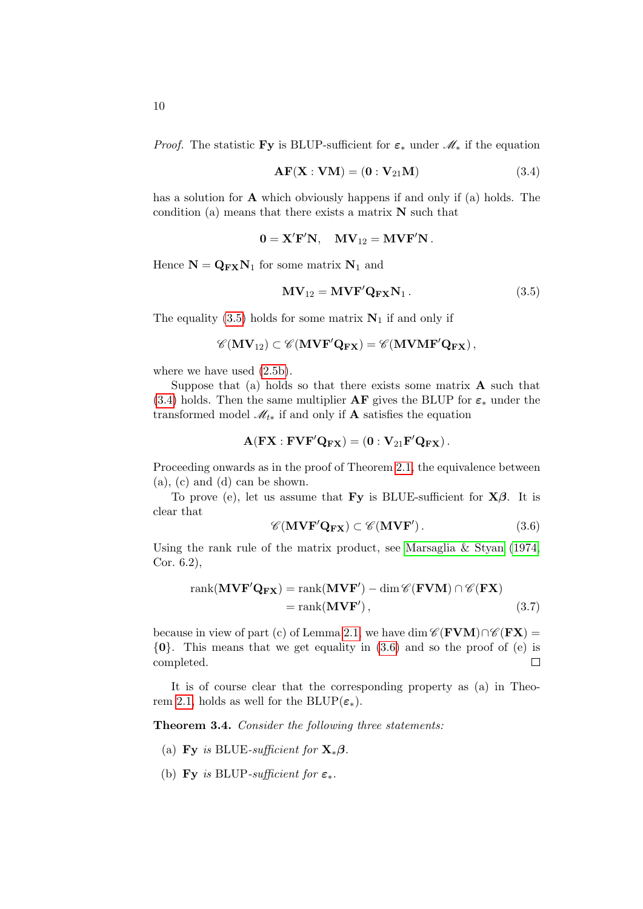*Proof.* The statistic Fy is BLUP-sufficient for  $\varepsilon_*$  under  $\mathcal{M}_*$  if the equation

<span id="page-9-1"></span>
$$
\mathbf{AF}(\mathbf{X} : \mathbf{VM}) = (\mathbf{0} : \mathbf{V}_{21}\mathbf{M})
$$
\n(3.4)

has a solution for **A** which obviously happens if and only if (a) holds. The condition (a) means that there exists a matrix N such that

$$
\mathbf{0} = \mathbf{X}'\mathbf{F}'\mathbf{N}, \quad \mathbf{M}\mathbf{V}_{12} = \mathbf{M}\mathbf{V}\mathbf{F}'\mathbf{N} \, .
$$

Hence  $N = Q_{FX}N_1$  for some matrix  $N_1$  and

<span id="page-9-0"></span>
$$
\mathbf{MV}_{12} = \mathbf{MVF}'\mathbf{Q}_{\mathbf{FX}}\mathbf{N}_1.
$$
 (3.5)

The equality [\(3.5\)](#page-9-0) holds for some matrix  $N_1$  if and only if

$$
\mathscr{C}(\mathbf{MV}_{12}) \subset \mathscr{C}(\mathbf{MVF}'\mathbf{Q}_{\mathbf{FX}}) = \mathscr{C}(\mathbf{MVMF}'\mathbf{Q}_{\mathbf{FX}})\,,
$$

where we have used  $(2.5b)$ .

Suppose that (a) holds so that there exists some matrix  $\bf{A}$  such that [\(3.4\)](#page-9-1) holds. Then the same multiplier  $AF$  gives the BLUP for  $\varepsilon_*$  under the transformed model  $\mathcal{M}_{t*}$  if and only if **A** satisfies the equation

$$
\mathbf{A}(\mathbf{F}\mathbf{X}:\mathbf{F}\mathbf{V}\mathbf{F}'\mathbf{Q}_{\mathbf{F}\mathbf{X}}) = (\mathbf{0}:\mathbf{V}_{21}\mathbf{F}'\mathbf{Q}_{\mathbf{F}\mathbf{X}}).
$$

Proceeding onwards as in the proof of Theorem [2.1,](#page-4-3) the equivalence between (a), (c) and (d) can be shown.

To prove (e), let us assume that **Fy** is BLUE-sufficient for  $X\beta$ . It is clear that

<span id="page-9-4"></span><span id="page-9-2"></span>
$$
\mathscr{C}(\mathbf{MVF'Q_{FX}}) \subset \mathscr{C}(\mathbf{MVF'})\,. \tag{3.6}
$$

Using the rank rule of the matrix product, see [Marsaglia & Styan](#page-17-8) [\(1974,](#page-17-8) Cor. 6.2),

$$
rank(\mathbf{MVF'}\mathbf{Q_{FX}}) = rank(\mathbf{MVF'}) - dim \mathcal{C}(\mathbf{FVM}) \cap \mathcal{C}(\mathbf{FX})
$$
  
= rank(\mathbf{MVF'}), \t(3.7)

because in view of part (c) of Lemma [2.1,](#page-3-2) we have dim  $\mathscr{C}(\mathbf{FVM})\cap \mathscr{C}(\mathbf{FX})=$  $\{0\}$ . This means that we get equality in  $(3.6)$  and so the proof of (e) is  $\Box$ completed.

It is of course clear that the corresponding property as (a) in Theo-rem [2.1,](#page-4-3) holds as well for the BLUP( $\varepsilon_*$ ).

<span id="page-9-3"></span>Theorem 3.4. Consider the following three statements:

- (a) Fy is BLUE-sufficient for  $\mathbf{X}_*\boldsymbol{\beta}$ .
- (b) Fy is BLUP-sufficient for  $\varepsilon_*$ .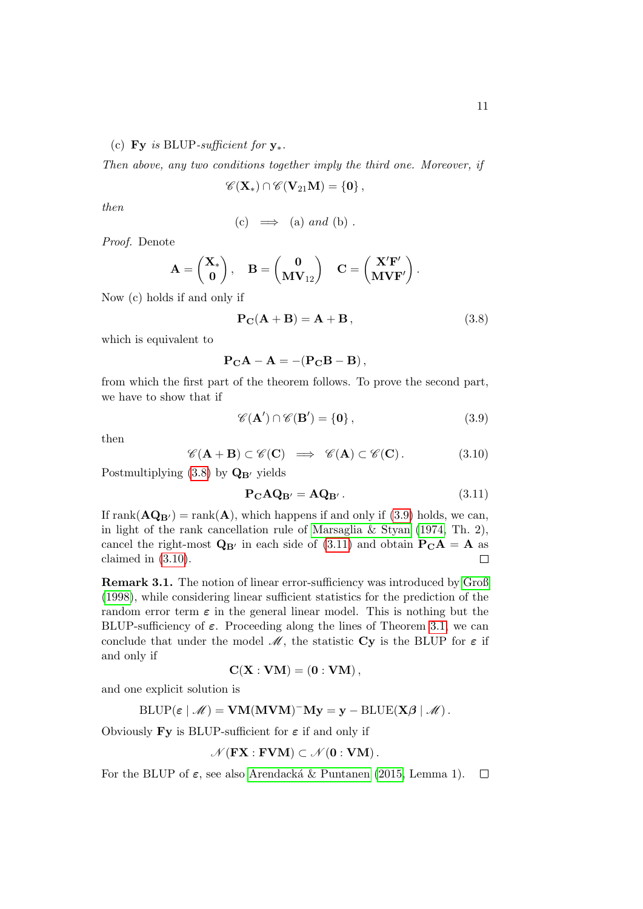(c) Fy is BLUP-sufficient for  $y_*$ .

Then above, any two conditions together imply the third one. Moreover, if

$$
\mathscr{C}(\mathbf{X}_*)\cap\mathscr{C}(\mathbf{V}_{21}\mathbf{M})=\{\mathbf{0}\}\,,
$$

then

(c) 
$$
\implies
$$
 (a) and (b).

Proof. Denote

$$
\mathbf{A} = \begin{pmatrix} \mathbf{X}_* \\ \mathbf{0} \end{pmatrix}, \quad \mathbf{B} = \begin{pmatrix} \mathbf{0} \\ \mathbf{M} \mathbf{V}_{12} \end{pmatrix} \quad \mathbf{C} = \begin{pmatrix} \mathbf{X}' \mathbf{F}' \\ \mathbf{M} \mathbf{V} \mathbf{F}' \end{pmatrix}.
$$

Now (c) holds if and only if

<span id="page-10-0"></span>
$$
\mathbf{P}_{\mathbf{C}}(\mathbf{A} + \mathbf{B}) = \mathbf{A} + \mathbf{B},\tag{3.8}
$$

which is equivalent to

$$
\mathbf{P}_{\mathbf{C}}\mathbf{A} - \mathbf{A} = -(\mathbf{P}_{\mathbf{C}}\mathbf{B} - \mathbf{B}),
$$

from which the first part of the theorem follows. To prove the second part, we have to show that if

<span id="page-10-1"></span>
$$
\mathscr{C}(\mathbf{A}') \cap \mathscr{C}(\mathbf{B}') = \{0\},\tag{3.9}
$$

then

<span id="page-10-3"></span>
$$
\mathscr{C}(\mathbf{A} + \mathbf{B}) \subset \mathscr{C}(\mathbf{C}) \implies \mathscr{C}(\mathbf{A}) \subset \mathscr{C}(\mathbf{C}). \tag{3.10}
$$

Postmultiplying  $(3.8)$  by  $\mathbf{Q}_{\mathbf{B}'}$  yields

<span id="page-10-2"></span>
$$
\mathbf{P}_{\mathbf{C}}\mathbf{A}\mathbf{Q}_{\mathbf{B}'} = \mathbf{A}\mathbf{Q}_{\mathbf{B}'}. \tag{3.11}
$$

If rank $(\mathbf{AQ}_{\mathbf{B}'} )$  = rank $(\mathbf{A})$ , which happens if and only if [\(3.9\)](#page-10-1) holds, we can, in light of the rank cancellation rule of [Marsaglia & Styan](#page-17-8) [\(1974,](#page-17-8) Th. 2), cancel the right-most  $\mathbf{Q}_{\mathbf{B}'}$  in each side of [\(3.11\)](#page-10-2) and obtain  $\mathbf{P}_{\mathbf{C}}\mathbf{A} = \mathbf{A}$  as claimed in [\(3.10\)](#page-10-3).  $\Box$ 

Remark 3.1. The notion of linear error-sufficiency was introduced by [Groß](#page-17-9) [\(1998\)](#page-17-9), while considering linear sufficient statistics for the prediction of the random error term  $\varepsilon$  in the general linear model. This is nothing but the BLUP-sufficiency of  $\varepsilon$ . Proceeding along the lines of Theorem [3.1,](#page-6-2) we can conclude that under the model  $\mathcal{M}$ , the statistic Cy is the BLUP for  $\varepsilon$  if and only if

$$
\mathbf{C}(\mathbf{X}:\mathbf{VM})=(\mathbf{0}:\mathbf{VM})\,,
$$

and one explicit solution is

$$
\operatorname{BLUP}(\varepsilon \mid \mathscr{M}) = \mathbf{VM}(\mathbf{MVM})^{-} \mathbf{My} = \mathbf{y} - \operatorname{BLUE}(\mathbf{X}\boldsymbol{\beta} \mid \mathscr{M}).
$$

Obviously Fy is BLUP-sufficient for  $\varepsilon$  if and only if

$$
\mathscr{N}(\mathbf{FX}:\mathbf{FVM})\subset \mathscr{N}(\mathbf{0}:\mathbf{VM})\,.
$$

For the BLUP of  $\varepsilon$ , see also Arendacká & Puntanen [\(2015,](#page-16-4) Lemma 1).  $\Box$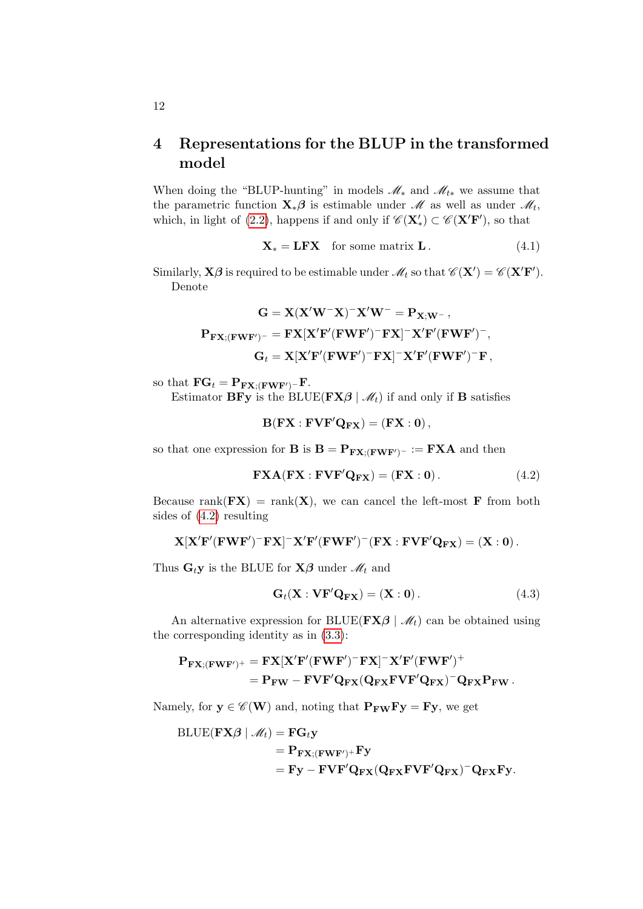## <span id="page-11-0"></span>4 Representations for the BLUP in the transformed model

When doing the "BLUP-hunting" in models  $\mathcal{M}_*$  and  $\mathcal{M}_{t*}$  we assume that the parametric function  $\mathbf{X}_{*}\boldsymbol{\beta}$  is estimable under  $\mathcal{M}$  as well as under  $\mathcal{M}_t$ , which, in light of [\(2.2\)](#page-4-4), happens if and only if  $\mathscr{C}(\mathbf{X}'_*) \subset \mathscr{C}(\mathbf{X}'\mathbf{F}')$ , so that

<span id="page-11-3"></span>
$$
\mathbf{X}_{*} = \mathbf{L} \mathbf{F} \mathbf{X} \quad \text{for some matrix } \mathbf{L} \,. \tag{4.1}
$$

Similarly,  $X\beta$  is required to be estimable under  $\mathscr{M}_t$  so that  $\mathscr{C}(X') = \mathscr{C}(X'F')$ . Denote

$$
\begin{aligned} \mathbf{G} &= \mathbf{X} (\mathbf{X}' \mathbf{W}^- \mathbf{X})^- \mathbf{X}' \mathbf{W}^- = \mathbf{P}_{\mathbf{X}; \mathbf{W}^-} \,, \\ \mathbf{P}_{\mathbf{F} \mathbf{X}; (\mathbf{F} \mathbf{W} \mathbf{F}')^-} &= \mathbf{F} \mathbf{X} [\mathbf{X}' \mathbf{F}' (\mathbf{F} \mathbf{W} \mathbf{F}')^- \mathbf{F} \mathbf{X}]^- \mathbf{X}' \mathbf{F}' (\mathbf{F} \mathbf{W} \mathbf{F}')^-, \\ \mathbf{G}_t &= \mathbf{X} [\mathbf{X}' \mathbf{F}' (\mathbf{F} \mathbf{W} \mathbf{F}')^- \mathbf{F} \mathbf{X}]^- \mathbf{X}' \mathbf{F}' (\mathbf{F} \mathbf{W} \mathbf{F}')^- \mathbf{F} \,, \end{aligned}
$$

so that  $\mathbf{FG}_t = \mathbf{P}_{\mathbf{FX}; (\mathbf{FWF'})^-} \mathbf{F}.$ 

Estimator **BFy** is the BLUE( $\mathbf{FX}\beta \mid \mathcal{M}_t$ ) if and only if **B** satisfies

 $B(FX : FVF'Q_{FX}) = (FX : 0),$ 

so that one expression for **B** is  $B = P_{FX:(FWF')^-} := FXA$  and then

<span id="page-11-1"></span>
$$
\mathbf{FXA}(\mathbf{FX} : \mathbf{FVF}'\mathbf{Q}_{\mathbf{FX}}) = (\mathbf{FX} : \mathbf{0}). \tag{4.2}
$$

Because rank( $\mathbf{F}(\mathbf{F}|\mathbf{X}) = \text{rank}(\mathbf{X})$ , we can cancel the left-most F from both sides of [\(4.2\)](#page-11-1) resulting

$$
\mathbf{X}[\mathbf{X}'\mathbf{F}'(\mathbf{F}\mathbf{W}\mathbf{F}')^-\mathbf{F}\mathbf{X}]^-\mathbf{X}'\mathbf{F}'(\mathbf{F}\mathbf{W}\mathbf{F}')^-(\mathbf{F}\mathbf{X}:\mathbf{F}\mathbf{V}\mathbf{F}'\mathbf{Q}_{\mathbf{F}\mathbf{X}})=(\mathbf{X}:\mathbf{0})\,.
$$

Thus  $\mathbf{G}_t \mathbf{y}$  is the BLUE for  $\mathbf{X}\boldsymbol{\beta}$  under  $\mathcal{M}_t$  and

<span id="page-11-2"></span>
$$
\mathbf{G}_t(\mathbf{X} : \mathbf{VF}'\mathbf{Q}_{\mathbf{FX}}) = (\mathbf{X} : \mathbf{0}).
$$
 (4.3)

An alternative expression for BLUE( $\mathbf{FX}\beta \mid \mathcal{M}_t$ ) can be obtained using the corresponding identity as in [\(3.3\)](#page-7-1):

$$
\begin{aligned} \mathbf{P}_{\mathbf{FX}; (\mathbf{FWF}')^+} &= \mathbf{FX}[\mathbf{X}'\mathbf{F}'(\mathbf{FWF}')^-\mathbf{FX}]^- \mathbf{X}'\mathbf{F}'(\mathbf{FWF}')^+ \\ &= \mathbf{P}_{\mathbf{FW}} - \mathbf{F}\mathbf{VF}'\mathbf{Q}_{\mathbf{FX}}(\mathbf{Q}_{\mathbf{FX}}\mathbf{F}\mathbf{VF}'\mathbf{Q}_{\mathbf{FX}})^-\mathbf{Q}_{\mathbf{FX}}\mathbf{P}_{\mathbf{FW}}\,. \end{aligned}
$$

Namely, for  $y \in \mathscr{C}(\mathbf{W})$  and, noting that  $\mathbf{P}_{\mathbf{F}\mathbf{W}}\mathbf{F}\mathbf{y} = \mathbf{F}\mathbf{y}$ , we get

$$
\begin{aligned} \text{BLE}(\mathbf{FX\beta} \mid \mathcal{M}_t) &= \mathbf{FG}_t \mathbf{y} \\ &= \mathbf{P}_{\mathbf{FX}; (\mathbf{FWF}')^+} \mathbf{F} \mathbf{y} \\ &= \mathbf{F} \mathbf{y} - \mathbf{F} \mathbf{VF}' \mathbf{Q}_{\mathbf{FX}} (\mathbf{Q}_{\mathbf{FX}} \mathbf{F} \mathbf{VF}' \mathbf{Q}_{\mathbf{FX}})^{-} \mathbf{Q}_{\mathbf{FX}} \mathbf{F} \mathbf{y}. \end{aligned}
$$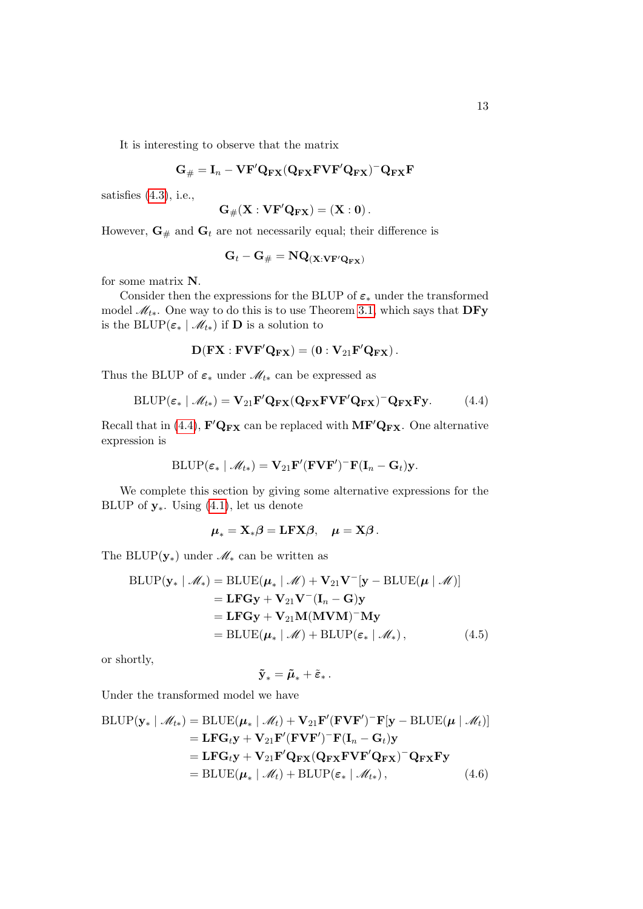It is interesting to observe that the matrix

$$
\mathbf{G}_{\#} = \mathbf{I}_n - \mathbf{V} \mathbf{F}' \mathbf{Q}_{\mathbf{F} \mathbf{X}} (\mathbf{Q}_{\mathbf{F} \mathbf{X}} \mathbf{F} \mathbf{V} \mathbf{F}' \mathbf{Q}_{\mathbf{F} \mathbf{X}})^{-} \mathbf{Q}_{\mathbf{F} \mathbf{X}} \mathbf{F}
$$

satisfies  $(4.3)$ , i.e.,

$$
\mathbf{G}_{\#}(\mathbf{X}:\mathbf{VF}'\mathbf{Q}_{\mathbf{FX}})=(\mathbf{X}:0).
$$

However,  $\mathbf{G}_{\#}$  and  $\mathbf{G}_{t}$  are not necessarily equal; their difference is

<span id="page-12-0"></span>
$$
\mathbf{G}_t - \mathbf{G}_{\#} = \mathbf{N} \mathbf{Q}_{(\mathbf{X}: \mathbf{VF'}\mathbf{Q_{FX}})}
$$

for some matrix N.

Consider then the expressions for the BLUP of  $\varepsilon_*$  under the transformed model  $\mathcal{M}_{t*}$ . One way to do this is to use Theorem [3.1,](#page-6-2) which says that DFy is the BLUP( $\varepsilon_* \mid \mathcal{M}_{t*}$ ) if **D** is a solution to

$$
\mathbf{D}(\mathbf{F}\mathbf{X}:\mathbf{F}\mathbf{V}\mathbf{F}'\mathbf{Q}_{\mathbf{F}\mathbf{X}}) = \left(\mathbf{0}:\mathbf{V}_{21}\mathbf{F}'\mathbf{Q}_{\mathbf{F}\mathbf{X}}\right).
$$

Thus the BLUP of  $\varepsilon_*$  under  $\mathcal{M}_{t*}$  can be expressed as

$$
BLUP(\varepsilon_* \mid \mathcal{M}_{t*}) = \mathbf{V}_{21} \mathbf{F}' \mathbf{Q}_{\mathbf{FX}} (\mathbf{Q}_{\mathbf{FX}} \mathbf{F} \mathbf{V} \mathbf{F}' \mathbf{Q}_{\mathbf{FX}})^{-} \mathbf{Q}_{\mathbf{FX}} \mathbf{F} \mathbf{y}.
$$
 (4.4)

Recall that in [\(4.4\)](#page-12-0),  $\mathbf{F}'\mathbf{Q}_{\mathbf{FX}}$  can be replaced with  $\mathbf{MF}'\mathbf{Q}_{\mathbf{FX}}$ . One alternative expression is

$$
\text{BLUP}(\varepsilon_* \mid \mathscr{M}_{t*}) = \mathbf{V}_{21} \mathbf{F}' (\mathbf{F} \mathbf{V} \mathbf{F}')^{-} \mathbf{F} (\mathbf{I}_n - \mathbf{G}_t) \mathbf{y}.
$$

We complete this section by giving some alternative expressions for the BLUP of  $y_*$ . Using [\(4.1\)](#page-11-3), let us denote

$$
\boldsymbol{\mu}_{*} = \mathbf{X}_{*} \boldsymbol{\beta} = \mathbf{L} \mathbf{F} \mathbf{X} \boldsymbol{\beta}, \quad \boldsymbol{\mu} = \mathbf{X} \boldsymbol{\beta}.
$$

The BLUP( $\mathbf{y}_*$ ) under  $\mathcal{M}_*$  can be written as

$$
\begin{aligned} \text{BLUP}(\mathbf{y}_* \mid \mathcal{M}_*) &= \text{BLUE}(\boldsymbol{\mu}_* \mid \mathcal{M}) + \mathbf{V}_{21} \mathbf{V}^{-}[\mathbf{y} - \text{BLUE}(\boldsymbol{\mu} \mid \mathcal{M})] \\ &= \mathbf{L} \mathbf{F} \mathbf{G} \mathbf{y} + \mathbf{V}_{21} \mathbf{V}^{-} (\mathbf{I}_n - \mathbf{G}) \mathbf{y} \\ &= \mathbf{L} \mathbf{F} \mathbf{G} \mathbf{y} + \mathbf{V}_{21} \mathbf{M} (\mathbf{M} \mathbf{V} \mathbf{M})^{-} \mathbf{M} \mathbf{y} \\ &= \text{BLUE}(\boldsymbol{\mu}_* \mid \mathcal{M}) + \text{BLUP}(\boldsymbol{\varepsilon}_* \mid \mathcal{M}_*), \end{aligned} \tag{4.5}
$$

or shortly,

<span id="page-12-2"></span><span id="page-12-1"></span>
$$
\mathbf{\tilde{y}}_*=\bm{{\tilde{\mu}}}_*+\bm{\tilde{\varepsilon}}_*\,.
$$

Under the transformed model we have

$$
BLUP(\mathbf{y}_{*} | \mathcal{M}_{t*}) = BLUE(\boldsymbol{\mu}_{*} | \mathcal{M}_{t}) + \mathbf{V}_{21} \mathbf{F}' (\mathbf{F} \mathbf{V} \mathbf{F}')^{-} \mathbf{F} [\mathbf{y} - BLUE(\boldsymbol{\mu} | \mathcal{M}_{t})]
$$
  
\n
$$
= \mathbf{L} \mathbf{F} \mathbf{G}_{t} \mathbf{y} + \mathbf{V}_{21} \mathbf{F}' (\mathbf{F} \mathbf{V} \mathbf{F}')^{-} \mathbf{F} (\mathbf{I}_{n} - \mathbf{G}_{t}) \mathbf{y}
$$
  
\n
$$
= \mathbf{L} \mathbf{F} \mathbf{G}_{t} \mathbf{y} + \mathbf{V}_{21} \mathbf{F}' \mathbf{Q}_{\mathbf{F} \mathbf{X}} (\mathbf{Q}_{\mathbf{F} \mathbf{X}} \mathbf{F} \mathbf{V} \mathbf{F}' \mathbf{Q}_{\mathbf{F} \mathbf{X}})^{-} \mathbf{Q}_{\mathbf{F} \mathbf{X}} \mathbf{F} \mathbf{y}
$$
  
\n
$$
= BLUE(\boldsymbol{\mu}_{*} | \mathcal{M}_{t}) + BLUP(\varepsilon_{*} | \mathcal{M}_{t*}), \qquad (4.6)
$$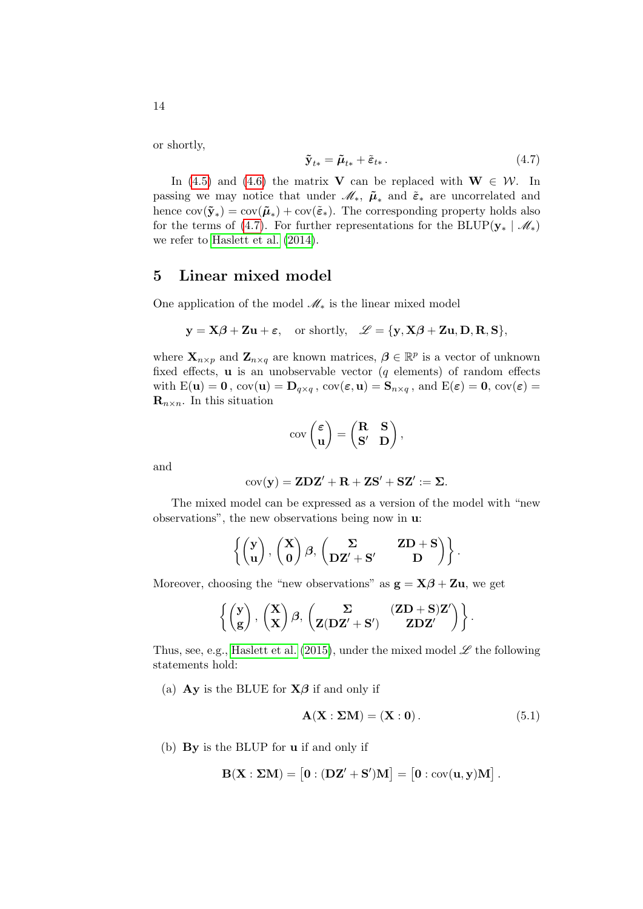or shortly,

<span id="page-13-1"></span>
$$
\tilde{\mathbf{y}}_{t*} = \tilde{\boldsymbol{\mu}}_{t*} + \tilde{\boldsymbol{\varepsilon}}_{t*} \,. \tag{4.7}
$$

In [\(4.5\)](#page-12-1) and [\(4.6\)](#page-12-2) the matrix **V** can be replaced with  $W \in \mathcal{W}$ . In passing we may notice that under  $\mathscr{M}_*, \tilde{\mu}_*$  and  $\tilde{\varepsilon}_*$  are uncorrelated and hence  $cov(\tilde{\mathbf{y}}_*) = cov(\tilde{\boldsymbol{\mu}}_*) + cov(\tilde{\boldsymbol{\varepsilon}}_*)$ . The corresponding property holds also for the terms of [\(4.7\)](#page-13-1). For further representations for the BLUP( $\mathbf{y}_* \mid \mathcal{M}_*$ ) we refer to [Haslett et al.](#page-17-7) [\(2014\)](#page-17-7).

#### <span id="page-13-0"></span>5 Linear mixed model

One application of the model  $\mathcal{M}_*$  is the linear mixed model

$$
y = X\beta + Zu + \varepsilon
$$
, or shortly,  $\mathscr{L} = \{y, X\beta + Zu, D, R, S\}$ ,

where  $\mathbf{X}_{n \times p}$  and  $\mathbf{Z}_{n \times q}$  are known matrices,  $\boldsymbol{\beta} \in \mathbb{R}^p$  is a vector of unknown fixed effects,  $\bf{u}$  is an unobservable vector (q elements) of random effects with  $E(\mathbf{u}) = \mathbf{0}$ ,  $cov(\mathbf{u}) = \mathbf{D}_{q \times q}$ ,  $cov(\varepsilon, \mathbf{u}) = \mathbf{S}_{n \times q}$ , and  $E(\varepsilon) = \mathbf{0}$ ,  $cov(\varepsilon) =$  $\mathbf{R}_{n\times n}$ . In this situation

$$
cov\begin{pmatrix} \varepsilon \\ \mathbf{u} \end{pmatrix} = \begin{pmatrix} \mathbf{R} & \mathbf{S} \\ \mathbf{S'} & \mathbf{D} \end{pmatrix},
$$

and

$$
cov(\mathbf{y}) = \mathbf{Z} \mathbf{D} \mathbf{Z}' + \mathbf{R} + \mathbf{Z} \mathbf{S}' + \mathbf{S} \mathbf{Z}' := \mathbf{\Sigma}.
$$

The mixed model can be expressed as a version of the model with "new observations", the new observations being now in u:

$$
\left\{ \begin{pmatrix} \mathbf{y} \\ \mathbf{u} \end{pmatrix}, \begin{pmatrix} \mathbf{X} \\ \mathbf{0} \end{pmatrix} \boldsymbol{\beta}, \begin{pmatrix} \boldsymbol{\Sigma} & \mathbf{Z}\mathbf{D} + \mathbf{S} \\ \mathbf{D}\mathbf{Z}' + \mathbf{S}' & \mathbf{D} \end{pmatrix} \right\}.
$$

Moreover, choosing the "new observations" as  $g = X\beta + Zu$ , we get

$$
\left\{ \begin{pmatrix} \mathbf{y} \\ \mathbf{g} \end{pmatrix}, \begin{pmatrix} \mathbf{X} \\ \mathbf{X} \end{pmatrix} \boldsymbol{\beta}, \begin{pmatrix} \boldsymbol{\Sigma} & (\mathbf{Z}\mathbf{D} + \mathbf{S})\mathbf{Z}' \\ \mathbf{Z}(\mathbf{D}\mathbf{Z}' + \mathbf{S}') & \mathbf{Z}\mathbf{D}\mathbf{Z}' \end{pmatrix} \right\}.
$$

Thus, see, e.g., [Haslett et al.](#page-17-10) [\(2015\)](#page-17-10), under the mixed model  $\mathscr L$  the following statements hold:

(a) Ay is the BLUE for  $X\beta$  if and only if

<span id="page-13-2"></span>
$$
\mathbf{A}(\mathbf{X}:\Sigma\mathbf{M}) = (\mathbf{X}:\mathbf{0}).\tag{5.1}
$$

(b) By is the BLUP for u if and only if

$$
\mathbf{B}(\mathbf{X}:\boldsymbol{\Sigma}\mathbf{M}) = \begin{bmatrix} \mathbf{0} \cdot (\mathbf{D}\mathbf{Z}' + \mathbf{S}')\mathbf{M} \end{bmatrix} = \begin{bmatrix} \mathbf{0} \cdot \text{cov}(\mathbf{u}, \mathbf{y})\mathbf{M} \end{bmatrix}.
$$

14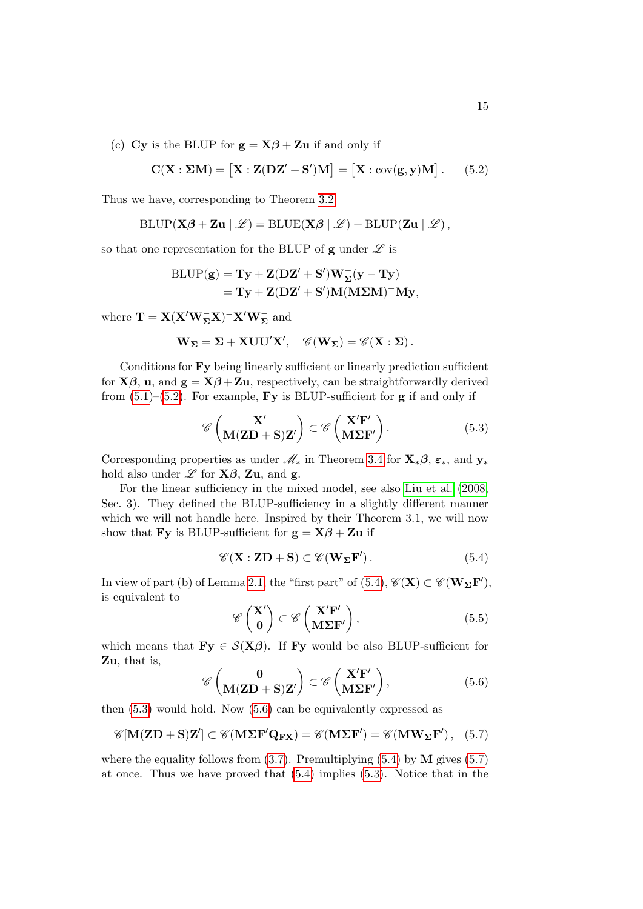(c) Cy is the BLUP for  $g = X\beta + Zu$  if and only if

<span id="page-14-0"></span>
$$
\mathbf{C}(\mathbf{X}:\boldsymbol{\Sigma}\mathbf{M}) = [\mathbf{X}:\mathbf{Z}(\mathbf{D}\mathbf{Z}'+\mathbf{S}')\mathbf{M}] = [\mathbf{X}:\text{cov}(\mathbf{g},\mathbf{y})\mathbf{M}]. \tag{5.2}
$$

Thus we have, corresponding to Theorem [3.2,](#page-8-0)

$$
\text{BLUP}(\mathbf{X}\boldsymbol{\beta} + \mathbf{Z}\mathbf{u} \mid \mathscr{L}) = \text{BLUE}(\mathbf{X}\boldsymbol{\beta} \mid \mathscr{L}) + \text{BLUP}(\mathbf{Z}\mathbf{u} \mid \mathscr{L}),
$$

so that one representation for the BLUP of  $g$  under  $\mathscr L$  is

$$
\begin{aligned} \mathrm{BLUP}(\mathbf{g}) &= \mathbf{T}\mathbf{y} + \mathbf{Z}(\mathbf{DZ}^{\prime} + \mathbf{S}^{\prime})\mathbf{W}_{\boldsymbol{\Sigma}}^{-}(\mathbf{y} - \mathbf{T}\mathbf{y}) \\ &= \mathbf{T}\mathbf{y} + \mathbf{Z}(\mathbf{DZ}^{\prime} + \mathbf{S}^{\prime})\mathbf{M}(\mathbf{M}\boldsymbol{\Sigma}\mathbf{M})^{-} \mathbf{M}\mathbf{y}, \end{aligned}
$$

where  $\mathbf{T} = \mathbf{X} (\mathbf{X}' \mathbf{W}_{\mathbf{\Sigma}}^- \mathbf{X})^- \mathbf{X}' \mathbf{W}_{\mathbf{\Sigma}}^-$  and

$$
\mathbf{W}_{\Sigma} = \Sigma + \mathbf{X} \mathbf{U} \mathbf{U}' \mathbf{X}', \quad \mathscr{C}(\mathbf{W}_{\Sigma}) = \mathscr{C}(\mathbf{X} : \Sigma).
$$

Conditions for Fy being linearly sufficient or linearly prediction sufficient for  $X\beta$ , u, and  $g = X\beta + Zu$ , respectively, can be straightforwardly derived from  $(5.1)$ – $(5.2)$ . For example, Fy is BLUP-sufficient for g if and only if

<span id="page-14-2"></span>
$$
\mathscr{C}\left(\mathbf{M}(\mathbf{Z}\mathbf{D} + \mathbf{S})\mathbf{Z}'\right) \subset \mathscr{C}\left(\mathbf{X}'\mathbf{F}'\right). \tag{5.3}
$$

Corresponding properties as under  $\mathcal{M}_*$  in Theorem [3.4](#page-9-3) for  $\mathbf{X}_*\boldsymbol{\beta}$ ,  $\varepsilon_*,$  and  $\mathbf{y}_*$ hold also under  $\mathscr L$  for **X** $\beta$ , **Zu**, and **g**.

For the linear sufficiency in the mixed model, see also [Liu et al.](#page-17-11) [\(2008,](#page-17-11) Sec. 3). They defined the BLUP-sufficiency in a slightly different manner which we will not handle here. Inspired by their Theorem 3.1, we will now show that **Fy** is BLUP-sufficient for  $g = X\beta + Zu$  if

<span id="page-14-1"></span>
$$
\mathscr{C}(\mathbf{X} : \mathbf{ZD} + \mathbf{S}) \subset \mathscr{C}(\mathbf{W}_{\Sigma} \mathbf{F}'). \tag{5.4}
$$

In view of part (b) of Lemma [2.1,](#page-3-2) the "first part" of  $(5.4)$ ,  $\mathscr{C}(\mathbf{X}) \subset \mathscr{C}(\mathbf{W}_{\mathbf{\Sigma}} \mathbf{F}')$ , is equivalent to

<span id="page-14-5"></span>
$$
\mathscr{C}\begin{pmatrix} \mathbf{X'} \\ \mathbf{0} \end{pmatrix} \subset \mathscr{C}\begin{pmatrix} \mathbf{X'F'} \\ \mathbf{M\Sigma F'} \end{pmatrix},\tag{5.5}
$$

which means that  $\mathbf{Fy} \in \mathcal{S}(\mathbf{X}\boldsymbol{\beta})$ . If  $\mathbf{Fy}$  would be also BLUP-sufficient for Zu, that is,

<span id="page-14-3"></span>
$$
\mathscr{C}\left(\mathbf{M}(\mathbf{Z}\mathbf{D} + \mathbf{S})\mathbf{Z}'\right) \subset \mathscr{C}\left(\mathbf{X}'\mathbf{F}'\right),\tag{5.6}
$$

then [\(5.3\)](#page-14-2) would hold. Now [\(5.6\)](#page-14-3) can be equivalently expressed as

<span id="page-14-4"></span>
$$
\mathscr{C}[\mathbf{M}(\mathbf{Z}\mathbf{D} + \mathbf{S})\mathbf{Z}'] \subset \mathscr{C}(\mathbf{M}\Sigma\mathbf{F}'\mathbf{Q}_{\mathbf{F}\mathbf{X}}) = \mathscr{C}(\mathbf{M}\Sigma\mathbf{F}') = \mathscr{C}(\mathbf{M}\mathbf{W}_{\Sigma}\mathbf{F}') , \quad (5.7)
$$

where the equality follows from  $(3.7)$ . Premultiplying  $(5.4)$  by M gives  $(5.7)$ at once. Thus we have proved that [\(5.4\)](#page-14-1) implies [\(5.3\)](#page-14-2). Notice that in the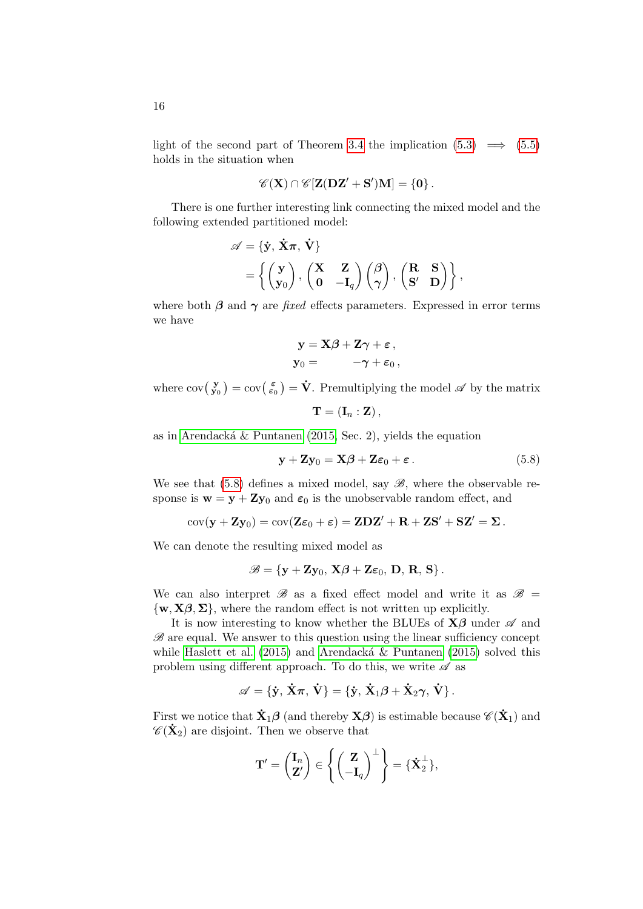light of the second part of Theorem [3.4](#page-9-3) the implication  $(5.3) \implies (5.5)$  $(5.3) \implies (5.5)$  $(5.3) \implies (5.5)$ holds in the situation when

$$
\mathscr{C}(\mathbf{X})\cap\mathscr{C}[\mathbf{Z}(\mathbf{DZ}'+\mathbf{S}')\mathbf{M}]=\{\mathbf{0}\}\,.
$$

There is one further interesting link connecting the mixed model and the following extended partitioned model:

$$
\begin{aligned} \mathscr{A} &= \{ \dot{\mathbf{y}}, \, \dot{\mathbf{X}} \pi, \, \dot{\mathbf{V}} \} \\ &= \left\{ \begin{pmatrix} \mathbf{y} \\ \mathbf{y}_0 \end{pmatrix}, \, \begin{pmatrix} \mathbf{X} & \mathbf{Z} \\ \mathbf{0} & -\mathbf{I}_q \end{pmatrix} \begin{pmatrix} \boldsymbol{\beta} \\ \boldsymbol{\gamma} \end{pmatrix}, \, \begin{pmatrix} \mathbf{R} & \mathbf{S} \\ \mathbf{S'} & \mathbf{D} \end{pmatrix} \right\}, \end{aligned}
$$

where both  $\beta$  and  $\gamma$  are fixed effects parameters. Expressed in error terms we have

$$
\begin{aligned} \mathbf{y} &= \mathbf{X}\boldsymbol{\beta} + \mathbf{Z}\boldsymbol{\gamma} + \boldsymbol{\varepsilon} \,, \\ \mathbf{y}_0 &= \phantom{\Big(} -\boldsymbol{\gamma} + \boldsymbol{\varepsilon}_0 \,, \end{aligned}
$$

where  $cov(\frac{\mathbf{y}}{\mathbf{y}_0}) = cov(\frac{\varepsilon}{\varepsilon_0}) = \dot{\mathbf{V}}$ . Premultiplying the model  $\mathscr A$  by the matrix

$$
\mathbf{T} = \left(\mathbf{I}_n : \mathbf{Z}\right),
$$

as in Arendacká  $\&$  Puntanen [\(2015,](#page-16-4) Sec. 2), yields the equation

<span id="page-15-0"></span>
$$
\mathbf{y} + \mathbf{Z}\mathbf{y}_0 = \mathbf{X}\boldsymbol{\beta} + \mathbf{Z}\boldsymbol{\varepsilon}_0 + \boldsymbol{\varepsilon} \,. \tag{5.8}
$$

We see that  $(5.8)$  defines a mixed model, say  $\mathscr{B}$ , where the observable response is  $\mathbf{w} = \mathbf{y} + \mathbf{Zy}_0$  and  $\varepsilon_0$  is the unobservable random effect, and

$$
\mathrm{cov}(\mathbf{y}+\mathbf{Z}\mathbf{y}_0)=\mathrm{cov}(\mathbf{Z}\boldsymbol{\varepsilon}_0+\boldsymbol{\varepsilon})=\mathbf{Z}\mathbf{D}\mathbf{Z}'+\mathbf{R}+\mathbf{Z}\mathbf{S}'+\mathbf{SZ}'=\boldsymbol{\Sigma}\,.
$$

We can denote the resulting mixed model as

$$
\mathscr{B} = \{ \mathbf{y} + \mathbf{Z} \mathbf{y}_0, \, \mathbf{X} \boldsymbol{\beta} + \mathbf{Z} \boldsymbol{\varepsilon}_0, \, \mathbf{D}, \, \mathbf{R}, \, \mathbf{S} \} \, .
$$

We can also interpret  $\mathscr{B}$  as a fixed effect model and write it as  $\mathscr{B}$  =  $\{w, X\beta, \Sigma\}$ , where the random effect is not written up explicitly.

It is now interesting to know whether the BLUEs of  $X\beta$  under  $\mathscr A$  and  $\mathscr B$  are equal. We answer to this question using the linear sufficiency concept while [Haslett et al.](#page-17-10)  $(2015)$  and Arendacká & Puntanen  $(2015)$  solved this problem using different approach. To do this, we write  $\mathscr A$  as

$$
\mathscr{A}=\{\dot{y},\,\dot{X}\pi,\,\dot{V}\}=\{\dot{y},\,\dot{X}_1\beta+\dot{X}_2\gamma,\,\dot{V}\}\,.
$$

First we notice that  $\dot{\mathbf{X}}_1 \boldsymbol{\beta}$  (and thereby  $\mathbf{X}\boldsymbol{\beta}$ ) is estimable because  $\mathscr{C}(\dot{\mathbf{X}}_1)$  and  $\mathscr{C}(\mathbf{\dot{X}}_2)$  are disjoint. Then we observe that

$$
\mathbf{T}' = \begin{pmatrix} \mathbf{I}_n \\ \mathbf{Z}' \end{pmatrix} \in \left\{ \begin{pmatrix} \mathbf{Z} \\ -\mathbf{I}_q \end{pmatrix}^{\perp} \right\} = \{ \dot{\mathbf{X}}_2^{\perp} \},\
$$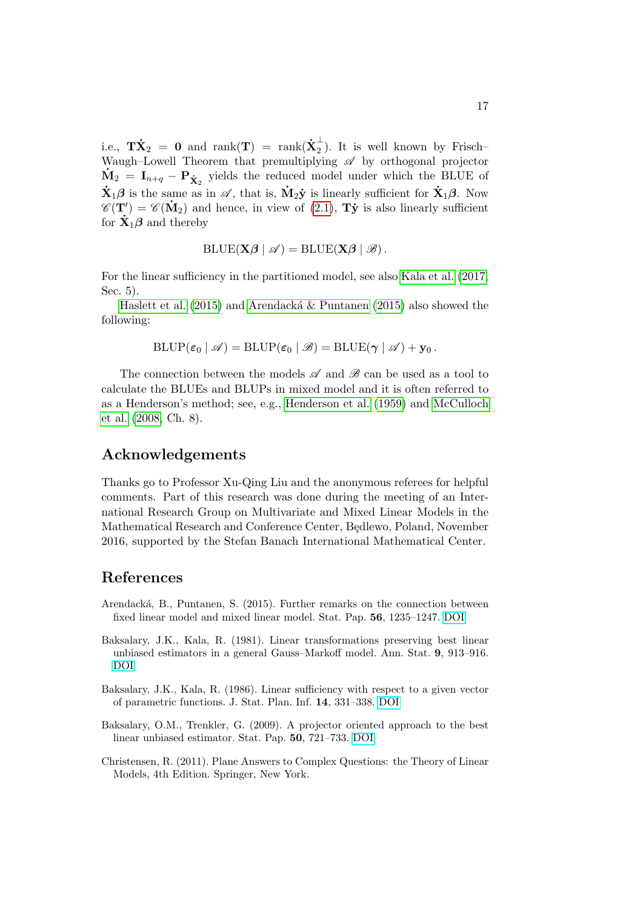i.e.,  $\mathbf{T}\mathbf{\dot{X}}_2$  = 0 and  $\mathrm{rank}(\mathbf{T})$  =  $\mathrm{rank}(\mathbf{\dot{X}}_2^\perp)$  $\frac{1}{2}$ ). It is well known by Frisch-Waugh–Lowell Theorem that premultiplying  $\mathscr A$  by orthogonal projector  $\dot{M}_2 = I_{n+q} - P_{\dot{X}_2}$  yields the reduced model under which the BLUE of  $\dot{\mathbf{X}}_1\boldsymbol{\beta}$  is the same as in  $\mathscr{A}$ , that is,  $\dot{\mathbf{M}}_2\dot{\mathbf{y}}$  is linearly sufficient for  $\dot{\mathbf{X}}_1\boldsymbol{\beta}$ . Now  $\mathscr{C}(\mathbf{T}') = \mathscr{C}(\mathbf{M}_2)$  and hence, in view of [\(2.1\)](#page-4-1),  $\mathbf{T}\mathbf{\dot{y}}$  is also linearly sufficient for  $\dot{\mathbf{X}}_1 \boldsymbol{\beta}$  and thereby

$$
\text{BLUE}(\mathbf{X}\boldsymbol{\beta} \mid \mathscr{A}) = \text{BLUE}(\mathbf{X}\boldsymbol{\beta} \mid \mathscr{B}).
$$

For the linear sufficiency in the partitioned model, see also [Kala et al.](#page-17-4) [\(2017,](#page-17-4) Sec. 5).

[Haslett et al.](#page-17-10) [\(2015\)](#page-16-4) and Arendacká  $\&$  Puntanen (2015) also showed the following:

$$
\text{BLUP}(\varepsilon_0 \mid \mathscr{A}) = \text{BLUP}(\varepsilon_0 \mid \mathscr{B}) = \text{BLUE}(\gamma \mid \mathscr{A}) + \mathbf{y}_0.
$$

The connection between the models  $\mathscr A$  and  $\mathscr B$  can be used as a tool to calculate the BLUEs and BLUPs in mixed model and it is often referred to as a Henderson's method; see, e.g., [Henderson et al.](#page-17-12) [\(1959\)](#page-17-12) and [McCulloch](#page-17-13) [et al.](#page-17-13) [\(2008,](#page-17-13) Ch. 8).

### Acknowledgements

Thanks go to Professor Xu-Qing Liu and the anonymous referees for helpful comments. Part of this research was done during the meeting of an International Research Group on Multivariate and Mixed Linear Models in the Mathematical Research and Conference Center, Bedlewo, Poland, November 2016, supported by the Stefan Banach International Mathematical Center.

#### References

- <span id="page-16-4"></span>Arendacká, B., Puntanen, S. (2015). Further remarks on the connection between fixed linear model and mixed linear model. Stat. Pap. 56, 1235–1247. [DOI](http://dx.doi.org/10.1007/s00362-014-0634-2)
- <span id="page-16-2"></span>Baksalary, J.K., Kala, R. (1981). Linear transformations preserving best linear unbiased estimators in a general Gauss–Markoff model. Ann. Stat. 9, 913–916. [DOI](http://dx.doi.org/10.1214/aos/1176345533)
- <span id="page-16-3"></span>Baksalary, J.K., Kala, R. (1986). Linear sufficiency with respect to a given vector of parametric functions. J. Stat. Plan. Inf. 14, 331–338. [DOI](http://dx.doi.org/10.1016/0378-3758(86)90171-0)
- <span id="page-16-0"></span>Baksalary, O.M., Trenkler, G. (2009). A projector oriented approach to the best linear unbiased estimator. Stat. Pap. 50, 721–733. [DOI](http://dx.doi.org/10.1007/s00362-009-0252-6)
- <span id="page-16-1"></span>Christensen, R. (2011). Plane Answers to Complex Questions: the Theory of Linear Models, 4th Edition. Springer, New York.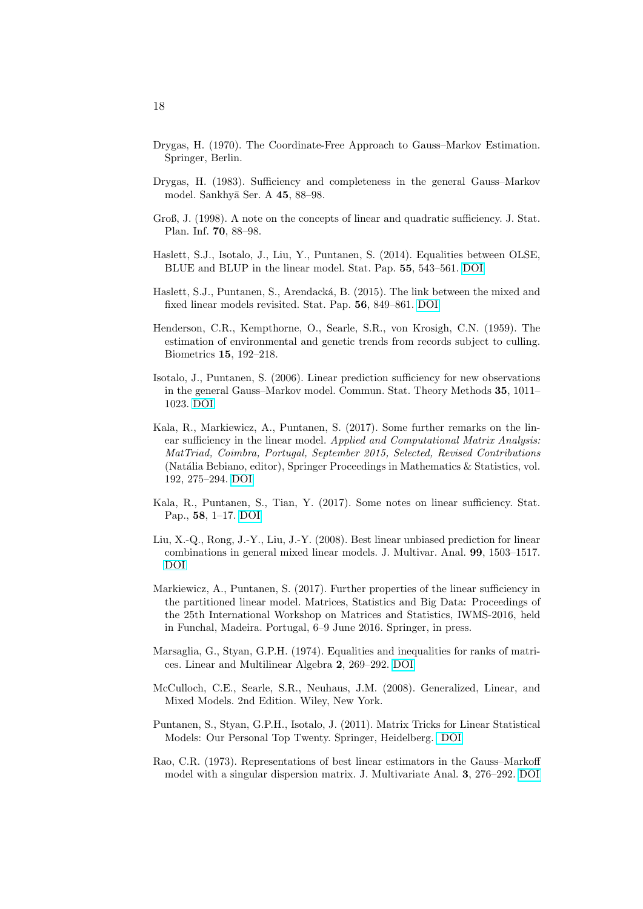- <span id="page-17-0"></span>Drygas, H. (1970). The Coordinate-Free Approach to Gauss–Markov Estimation. Springer, Berlin.
- <span id="page-17-3"></span>Drygas, H. (1983). Sufficiency and completeness in the general Gauss–Markov model. Sankhyā Ser. A 45, 88-98.
- <span id="page-17-9"></span>Groß, J. (1998). A note on the concepts of linear and quadratic sufficiency. J. Stat. Plan. Inf. 70, 88–98.
- <span id="page-17-7"></span>Haslett, S.J., Isotalo, J., Liu, Y., Puntanen, S. (2014). Equalities between OLSE, BLUE and BLUP in the linear model. Stat. Pap. 55, 543–561. [DOI](http://dx.doi.org/10.1007/s00362-013-0500-7)
- <span id="page-17-10"></span>Haslett, S.J., Puntanen, S., Arendacká, B. (2015). The link between the mixed and fixed linear models revisited. Stat. Pap. 56, 849–861. [DOI](http://dx.doi.org/10.1007/s00362-014-0611-9)
- <span id="page-17-12"></span>Henderson, C.R., Kempthorne, O., Searle, S.R., von Krosigh, C.N. (1959). The estimation of environmental and genetic trends from records subject to culling. Biometrics 15, 192–218.
- <span id="page-17-2"></span>Isotalo, J., Puntanen, S. (2006). Linear prediction sufficiency for new observations in the general Gauss–Markov model. Commun. Stat. Theory Methods 35, 1011– 1023. [DOI](http://dx.doi.org/10.1080/03610920600672146)
- Kala, R., Markiewicz, A., Puntanen, S. (2017). Some further remarks on the linear sufficiency in the linear model. Applied and Computational Matrix Analysis: MatTriad, Coimbra, Portugal, September 2015, Selected, Revised Contributions (Natália Bebiano, editor), Springer Proceedings in Mathematics & Statistics, vol. 192, 275–294. [DOI](http://dx.doi.org/10.1007/978-3-319-49984-0_19)
- <span id="page-17-4"></span>Kala, R., Puntanen, S., Tian, Y. (2017). Some notes on linear sufficiency. Stat. Pap., 58, 1–17. [DOI](http://dx.doi.org/10.1007/s00362-015-0682-2)
- <span id="page-17-11"></span>Liu, X.-Q., Rong, J.-Y., Liu, J.-Y. (2008). Best linear unbiased prediction for linear combinations in general mixed linear models. J. Multivar. Anal. 99, 1503–1517. [DOI](http://dx.doi.org/10.1016/j.jmva.2008.01.004)
- <span id="page-17-5"></span>Markiewicz, A., Puntanen, S. (2017). Further properties of the linear sufficiency in the partitioned linear model. Matrices, Statistics and Big Data: Proceedings of the 25th International Workshop on Matrices and Statistics, IWMS-2016, held in Funchal, Madeira. Portugal, 6–9 June 2016. Springer, in press.
- <span id="page-17-8"></span>Marsaglia, G., Styan, G.P.H. (1974). Equalities and inequalities for ranks of matrices. Linear and Multilinear Algebra 2, 269–292. [DOI](http://dx.doi.org/10.1080/03081087408817070)
- <span id="page-17-13"></span>McCulloch, C.E., Searle, S.R., Neuhaus, J.M. (2008). Generalized, Linear, and Mixed Models. 2nd Edition. Wiley, New York.
- <span id="page-17-6"></span>Puntanen, S., Styan, G.P.H., Isotalo, J. (2011). Matrix Tricks for Linear Statistical Models: Our Personal Top Twenty. Springer, Heidelberg. [DOI](http://dx.doi.org/10.1007/978-3-642-10473-2)
- <span id="page-17-1"></span>Rao, C.R. (1973). Representations of best linear estimators in the Gauss–Markoff model with a singular dispersion matrix. J. Multivariate Anal. 3, 276–292. [DOI](http://dx.doi.org/10.1016/0047-259X(73)90042-0)